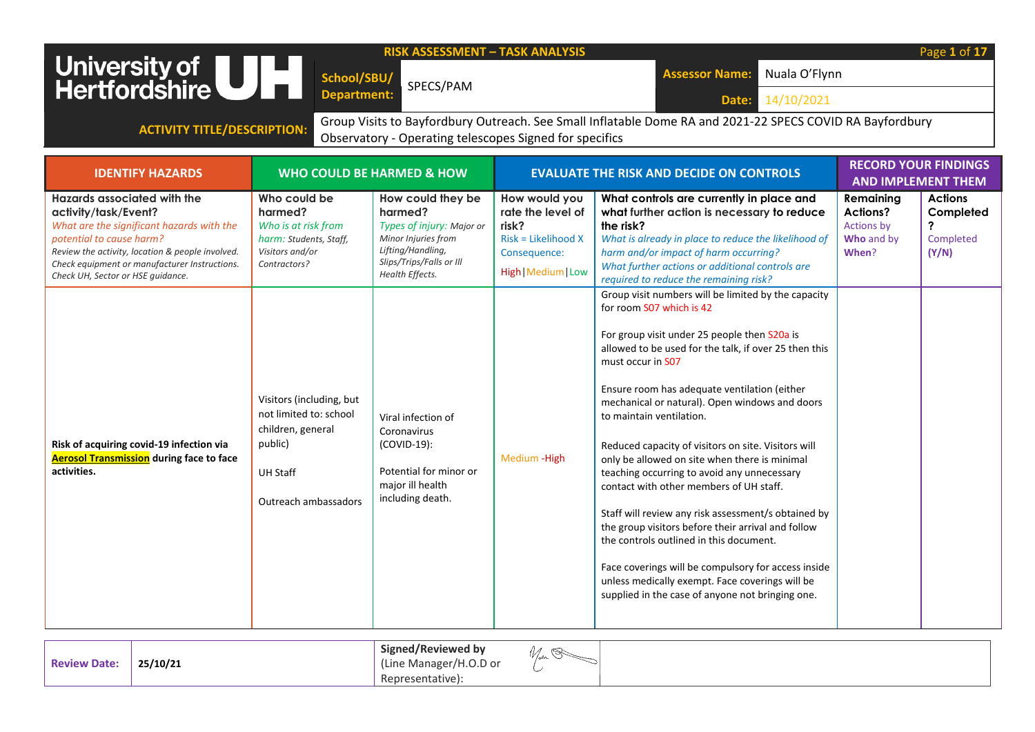| <b>RISK ASSESSMENT - TASK ANALYSIS</b><br>University of <b>ULL</b><br>Hertfordshire<br>Nuala O'Flynn<br><b>Assessor Name:</b><br>School/SBU/<br>SPECS/PAM<br><b>Department:</b><br>14/10/2021<br>Date:                                                                        |                                                                                                                               |                                                                                                                                                      |                                                                                                           |                                                                                                                                                                                                                                                                                                                                                                                                                                                                                                                                                                                                                                                                                                                                                                                                                                                                     |                                                                          |                                                          |  |  |
|-------------------------------------------------------------------------------------------------------------------------------------------------------------------------------------------------------------------------------------------------------------------------------|-------------------------------------------------------------------------------------------------------------------------------|------------------------------------------------------------------------------------------------------------------------------------------------------|-----------------------------------------------------------------------------------------------------------|---------------------------------------------------------------------------------------------------------------------------------------------------------------------------------------------------------------------------------------------------------------------------------------------------------------------------------------------------------------------------------------------------------------------------------------------------------------------------------------------------------------------------------------------------------------------------------------------------------------------------------------------------------------------------------------------------------------------------------------------------------------------------------------------------------------------------------------------------------------------|--------------------------------------------------------------------------|----------------------------------------------------------|--|--|
| Group Visits to Bayfordbury Outreach. See Small Inflatable Dome RA and 2021-22 SPECS COVID RA Bayfordbury<br><b>ACTIVITY TITLE/DESCRIPTION:</b><br>Observatory - Operating telescopes Signed for specifics                                                                    |                                                                                                                               |                                                                                                                                                      |                                                                                                           |                                                                                                                                                                                                                                                                                                                                                                                                                                                                                                                                                                                                                                                                                                                                                                                                                                                                     |                                                                          |                                                          |  |  |
| <b>IDENTIFY HAZARDS</b>                                                                                                                                                                                                                                                       |                                                                                                                               | <b>WHO COULD BE HARMED &amp; HOW</b>                                                                                                                 |                                                                                                           | <b>EVALUATE THE RISK AND DECIDE ON CONTROLS</b>                                                                                                                                                                                                                                                                                                                                                                                                                                                                                                                                                                                                                                                                                                                                                                                                                     |                                                                          | <b>RECORD YOUR FINDINGS</b><br><b>AND IMPLEMENT THEM</b> |  |  |
| <b>Hazards associated with the</b><br>activity/task/Event?<br>What are the significant hazards with the<br>potential to cause harm?<br>Review the activity, location & people involved.<br>Check equipment or manufacturer Instructions.<br>Check UH, Sector or HSE quidance. | Who could be<br>harmed?<br>Who is at risk from<br>harm: Students, Staff,<br>Visitors and/or<br>Contractors?                   | How could they be<br>harmed?<br>Types of injury: Major or<br>Minor Injuries from<br>Lifting/Handling,<br>Slips/Trips/Falls or Ill<br>Health Effects. | How would you<br>rate the level of<br>risk?<br>Risk = Likelihood X<br>Consequence:<br>High   Medium   Low | What controls are currently in place and<br>what further action is necessary to reduce<br>the risk?<br>What is already in place to reduce the likelihood of<br>harm and/or impact of harm occurring?<br>What further actions or additional controls are<br>required to reduce the remaining risk?                                                                                                                                                                                                                                                                                                                                                                                                                                                                                                                                                                   | Remaining<br><b>Actions?</b><br><b>Actions by</b><br>Who and by<br>When? | <b>Actions</b><br>Completed<br>Completed<br>(Y/N)        |  |  |
| Risk of acquiring covid-19 infection via<br><b>Aerosol Transmission</b> during face to face<br>activities.                                                                                                                                                                    | Visitors (including, but<br>not limited to: school<br>children, general<br>public)<br><b>UH Staff</b><br>Outreach ambassadors | Viral infection of<br>Coronavirus<br>(COVID-19):<br>Potential for minor or<br>major ill health<br>including death.                                   | Medium - High                                                                                             | Group visit numbers will be limited by the capacity<br>for room S07 which is 42<br>For group visit under 25 people then S20a is<br>allowed to be used for the talk, if over 25 then this<br>must occur in S07<br>Ensure room has adequate ventilation (either<br>mechanical or natural). Open windows and doors<br>to maintain ventilation.<br>Reduced capacity of visitors on site. Visitors will<br>only be allowed on site when there is minimal<br>teaching occurring to avoid any unnecessary<br>contact with other members of UH staff.<br>Staff will review any risk assessment/s obtained by<br>the group visitors before their arrival and follow<br>the controls outlined in this document.<br>Face coverings will be compulsory for access inside<br>unless medically exempt. Face coverings will be<br>supplied in the case of anyone not bringing one. |                                                                          |                                                          |  |  |

|--|--|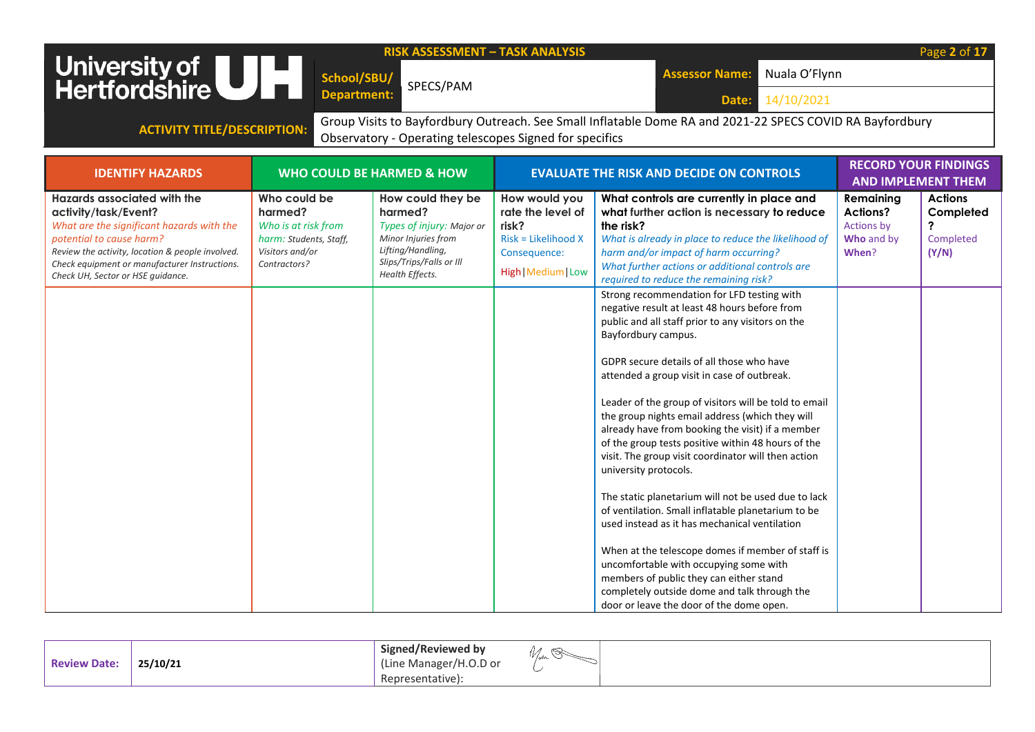|                                                                                                                                                                                                                                                                        |                                                                                                             | <b>RISK ASSESSMENT - TASK ANALYSIS</b>                                                                                                               |                                                                                                             |                                                                                                                                                                                                                                                                                                                                                                                                                                                                                                                                                                                                                                                                                                                                                                                                                                                                                                                                                                                                                                              |                                                                   | Page 2 of 17                                             |
|------------------------------------------------------------------------------------------------------------------------------------------------------------------------------------------------------------------------------------------------------------------------|-------------------------------------------------------------------------------------------------------------|------------------------------------------------------------------------------------------------------------------------------------------------------|-------------------------------------------------------------------------------------------------------------|----------------------------------------------------------------------------------------------------------------------------------------------------------------------------------------------------------------------------------------------------------------------------------------------------------------------------------------------------------------------------------------------------------------------------------------------------------------------------------------------------------------------------------------------------------------------------------------------------------------------------------------------------------------------------------------------------------------------------------------------------------------------------------------------------------------------------------------------------------------------------------------------------------------------------------------------------------------------------------------------------------------------------------------------|-------------------------------------------------------------------|----------------------------------------------------------|
| University of UH                                                                                                                                                                                                                                                       | School/SBU/                                                                                                 |                                                                                                                                                      |                                                                                                             | Nuala O'Flynn<br><b>Assessor Name:</b>                                                                                                                                                                                                                                                                                                                                                                                                                                                                                                                                                                                                                                                                                                                                                                                                                                                                                                                                                                                                       |                                                                   |                                                          |
|                                                                                                                                                                                                                                                                        | <b>Department:</b>                                                                                          | SPECS/PAM                                                                                                                                            |                                                                                                             | 14/10/2021<br>Date:                                                                                                                                                                                                                                                                                                                                                                                                                                                                                                                                                                                                                                                                                                                                                                                                                                                                                                                                                                                                                          |                                                                   |                                                          |
|                                                                                                                                                                                                                                                                        |                                                                                                             |                                                                                                                                                      |                                                                                                             | Group Visits to Bayfordbury Outreach. See Small Inflatable Dome RA and 2021-22 SPECS COVID RA Bayfordbury                                                                                                                                                                                                                                                                                                                                                                                                                                                                                                                                                                                                                                                                                                                                                                                                                                                                                                                                    |                                                                   |                                                          |
| <b>ACTIVITY TITLE/DESCRIPTION:</b>                                                                                                                                                                                                                                     |                                                                                                             | Observatory - Operating telescopes Signed for specifics                                                                                              |                                                                                                             |                                                                                                                                                                                                                                                                                                                                                                                                                                                                                                                                                                                                                                                                                                                                                                                                                                                                                                                                                                                                                                              |                                                                   |                                                          |
|                                                                                                                                                                                                                                                                        |                                                                                                             |                                                                                                                                                      |                                                                                                             |                                                                                                                                                                                                                                                                                                                                                                                                                                                                                                                                                                                                                                                                                                                                                                                                                                                                                                                                                                                                                                              |                                                                   |                                                          |
| <b>IDENTIFY HAZARDS</b>                                                                                                                                                                                                                                                |                                                                                                             | <b>WHO COULD BE HARMED &amp; HOW</b>                                                                                                                 |                                                                                                             | <b>EVALUATE THE RISK AND DECIDE ON CONTROLS</b>                                                                                                                                                                                                                                                                                                                                                                                                                                                                                                                                                                                                                                                                                                                                                                                                                                                                                                                                                                                              |                                                                   | <b>RECORD YOUR FINDINGS</b><br><b>AND IMPLEMENT THEM</b> |
| Hazards associated with the<br>activity/task/Event?<br>What are the significant hazards with the<br>potential to cause harm?<br>Review the activity, location & people involved.<br>Check equipment or manufacturer Instructions.<br>Check UH, Sector or HSE quidance. | Who could be<br>harmed?<br>Who is at risk from<br>harm: Students, Staff,<br>Visitors and/or<br>Contractors? | How could they be<br>harmed?<br>Types of injury: Major or<br>Minor Injuries from<br>Lifting/Handling,<br>Slips/Trips/Falls or Ill<br>Health Effects. | How would you<br>rate the level of<br>risk?<br>$Risk = Likelihood X$<br>Consequence:<br>High   Medium   Low | What controls are currently in place and<br>what further action is necessary to reduce<br>the risk?<br>What is already in place to reduce the likelihood of<br>harm and/or impact of harm occurring?<br>What further actions or additional controls are<br>required to reduce the remaining risk?<br>Strong recommendation for LFD testing with<br>negative result at least 48 hours before from<br>public and all staff prior to any visitors on the<br>Bayfordbury campus.<br>GDPR secure details of all those who have<br>attended a group visit in case of outbreak.<br>Leader of the group of visitors will be told to email<br>the group nights email address (which they will<br>already have from booking the visit) if a member<br>of the group tests positive within 48 hours of the<br>visit. The group visit coordinator will then action<br>university protocols.<br>The static planetarium will not be used due to lack<br>of ventilation. Small inflatable planetarium to be<br>used instead as it has mechanical ventilation | Remaining<br><b>Actions?</b><br>Actions by<br>Who and by<br>When? | <b>Actions</b><br>Completed<br>?<br>Completed<br>(Y/N)   |
|                                                                                                                                                                                                                                                                        |                                                                                                             |                                                                                                                                                      |                                                                                                             | When at the telescope domes if member of staff is<br>uncomfortable with occupying some with<br>members of public they can either stand<br>completely outside dome and talk through the<br>door or leave the door of the dome open.                                                                                                                                                                                                                                                                                                                                                                                                                                                                                                                                                                                                                                                                                                                                                                                                           |                                                                   |                                                          |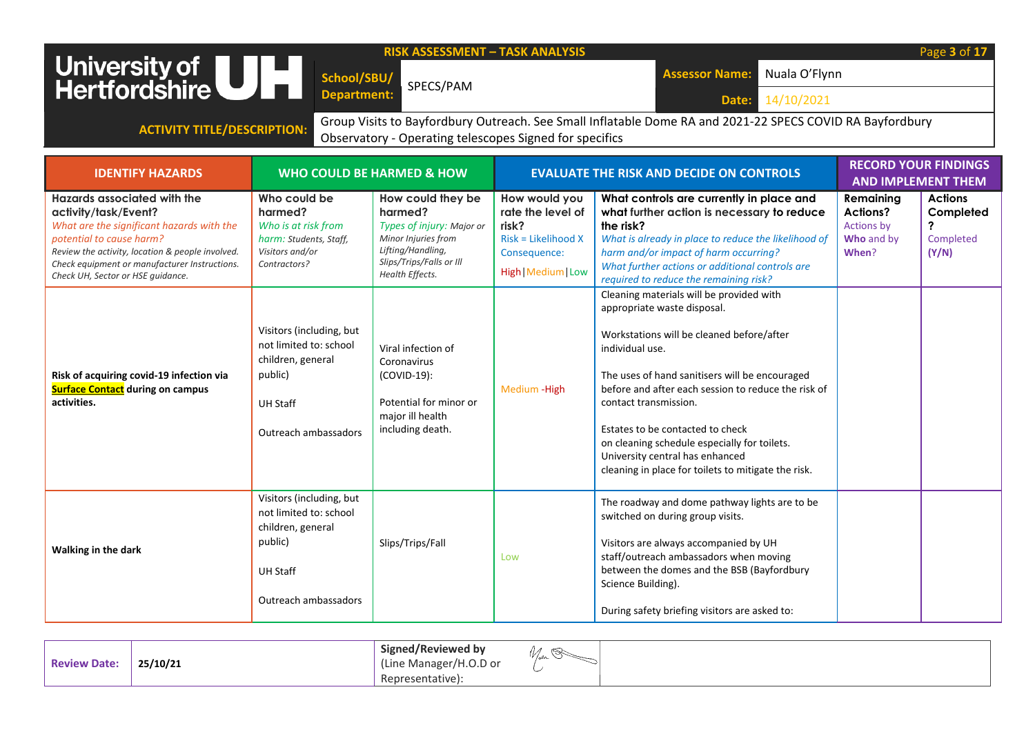| University of UH                                                                                                                                                                                                                                                                                                                                                             | School/SBU/<br><b>Department:</b>                                                                                                                                                                                                            | <b>RISK ASSESSMENT - TASK ANALYSIS</b><br>SPECS/PAM                                                                                                                                                                                                                        |                                                                                                                            | Nuala O'Flynn<br><b>Assessor Name:</b><br>14/10/2021<br>Date:                                                                                                                                                                                                                                                                                                                                                                                                                                                                                                                                                                                                                                                                                                |                                                            | Page 3 of 17                                             |  |  |  |
|------------------------------------------------------------------------------------------------------------------------------------------------------------------------------------------------------------------------------------------------------------------------------------------------------------------------------------------------------------------------------|----------------------------------------------------------------------------------------------------------------------------------------------------------------------------------------------------------------------------------------------|----------------------------------------------------------------------------------------------------------------------------------------------------------------------------------------------------------------------------------------------------------------------------|----------------------------------------------------------------------------------------------------------------------------|--------------------------------------------------------------------------------------------------------------------------------------------------------------------------------------------------------------------------------------------------------------------------------------------------------------------------------------------------------------------------------------------------------------------------------------------------------------------------------------------------------------------------------------------------------------------------------------------------------------------------------------------------------------------------------------------------------------------------------------------------------------|------------------------------------------------------------|----------------------------------------------------------|--|--|--|
|                                                                                                                                                                                                                                                                                                                                                                              | Group Visits to Bayfordbury Outreach. See Small Inflatable Dome RA and 2021-22 SPECS COVID RA Bayfordbury<br><b>ACTIVITY TITLE/DESCRIPTION:</b><br>Observatory - Operating telescopes Signed for specifics                                   |                                                                                                                                                                                                                                                                            |                                                                                                                            |                                                                                                                                                                                                                                                                                                                                                                                                                                                                                                                                                                                                                                                                                                                                                              |                                                            |                                                          |  |  |  |
| <b>IDENTIFY HAZARDS</b>                                                                                                                                                                                                                                                                                                                                                      |                                                                                                                                                                                                                                              | <b>WHO COULD BE HARMED &amp; HOW</b>                                                                                                                                                                                                                                       |                                                                                                                            | <b>EVALUATE THE RISK AND DECIDE ON CONTROLS</b>                                                                                                                                                                                                                                                                                                                                                                                                                                                                                                                                                                                                                                                                                                              |                                                            | <b>RECORD YOUR FINDINGS</b><br><b>AND IMPLEMENT THEM</b> |  |  |  |
| Hazards associated with the<br>activity/task/Event?<br>What are the significant hazards with the<br>potential to cause harm?<br>Review the activity, location & people involved.<br>Check equipment or manufacturer Instructions.<br>Check UH, Sector or HSE guidance.<br>Risk of acquiring covid-19 infection via<br><b>Surface Contact during on campus</b><br>activities. | Who could be<br>harmed?<br>Who is at risk from<br>harm: Students, Staff,<br>Visitors and/or<br>Contractors?<br>Visitors (including, but<br>not limited to: school<br>children, general<br>public)<br><b>UH Staff</b><br>Outreach ambassadors | How could they be<br>harmed?<br>Types of injury: Major or<br>Minor Injuries from<br>Lifting/Handling,<br>Slips/Trips/Falls or Ill<br>Health Effects.<br>Viral infection of<br>Coronavirus<br>(COVID-19):<br>Potential for minor or<br>major ill health<br>including death. | How would you<br>rate the level of<br>risk?<br>Risk = Likelihood X<br>Consequence:<br>High   Medium   Low<br>Medium - High | What controls are currently in place and<br>what further action is necessary to reduce<br>the risk?<br>What is already in place to reduce the likelihood of<br>harm and/or impact of harm occurring?<br>What further actions or additional controls are<br>required to reduce the remaining risk?<br>Cleaning materials will be provided with<br>appropriate waste disposal.<br>Workstations will be cleaned before/after<br>individual use.<br>The uses of hand sanitisers will be encouraged<br>before and after each session to reduce the risk of<br>contact transmission.<br>Estates to be contacted to check<br>on cleaning schedule especially for toilets.<br>University central has enhanced<br>cleaning in place for toilets to mitigate the risk. | Remaining<br>Actions?<br>Actions by<br>Who and by<br>When? | <b>Actions</b><br>Completed<br>?<br>Completed<br>(Y/N)   |  |  |  |
| Walking in the dark                                                                                                                                                                                                                                                                                                                                                          | Visitors (including, but<br>not limited to: school<br>children, general<br>public)<br><b>UH Staff</b><br>Outreach ambassadors                                                                                                                | Slips/Trips/Fall                                                                                                                                                                                                                                                           | Low                                                                                                                        | The roadway and dome pathway lights are to be<br>switched on during group visits.<br>Visitors are always accompanied by UH<br>staff/outreach ambassadors when moving<br>between the domes and the BSB (Bayfordbury<br>Science Building).<br>During safety briefing visitors are asked to:                                                                                                                                                                                                                                                                                                                                                                                                                                                                    |                                                            |                                                          |  |  |  |

| ∽<br>. . |
|----------|
|----------|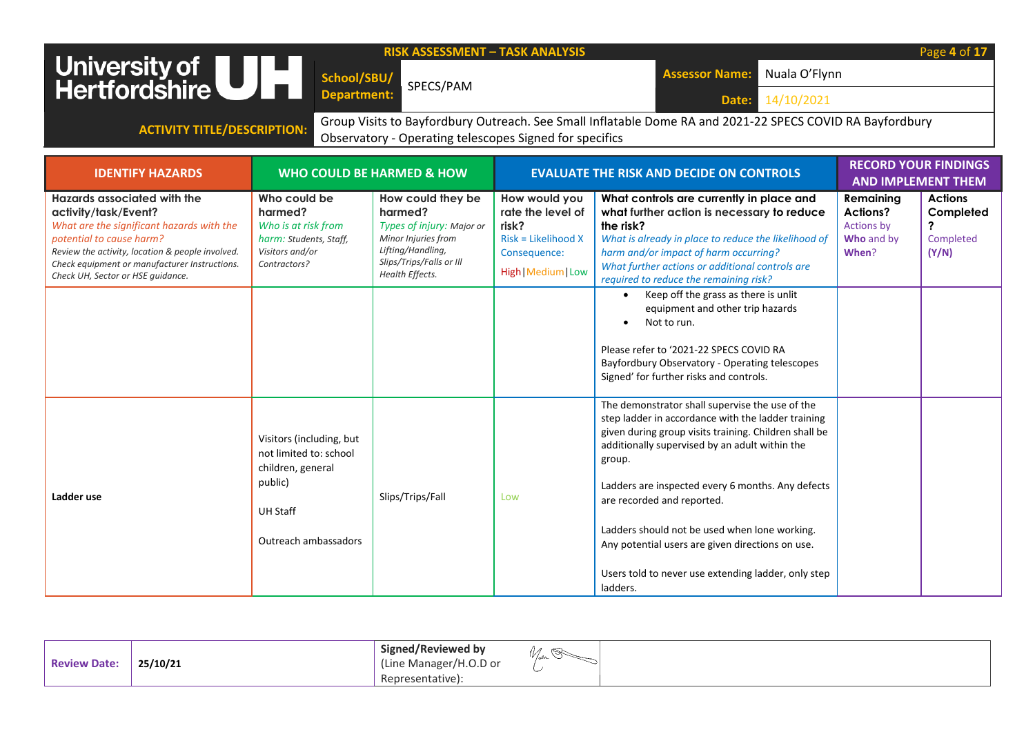| <b>RISK ASSESSMENT - TASK ANALYSIS</b><br>Page 4 of 17<br>University of <b>UNITE</b><br>Hertfordshire<br>Nuala O'Flynn<br><b>Assessor Name:</b><br>School/SBU/<br>SPECS/PAM<br><b>Department:</b><br>14/10/2021<br>Date:                                               |                                                                                                                               |                                                                                                                                                      |                                                                                                             |                                                                                                                                                                                                                                                                                                                                                                                                                                                                                                                                                   |                                                                          |                                                        |
|------------------------------------------------------------------------------------------------------------------------------------------------------------------------------------------------------------------------------------------------------------------------|-------------------------------------------------------------------------------------------------------------------------------|------------------------------------------------------------------------------------------------------------------------------------------------------|-------------------------------------------------------------------------------------------------------------|---------------------------------------------------------------------------------------------------------------------------------------------------------------------------------------------------------------------------------------------------------------------------------------------------------------------------------------------------------------------------------------------------------------------------------------------------------------------------------------------------------------------------------------------------|--------------------------------------------------------------------------|--------------------------------------------------------|
| <b>ACTIVITY TITLE/DESCRIPTION:</b>                                                                                                                                                                                                                                     |                                                                                                                               | Observatory - Operating telescopes Signed for specifics                                                                                              |                                                                                                             | Group Visits to Bayfordbury Outreach. See Small Inflatable Dome RA and 2021-22 SPECS COVID RA Bayfordbury                                                                                                                                                                                                                                                                                                                                                                                                                                         |                                                                          |                                                        |
| <b>IDENTIFY HAZARDS</b>                                                                                                                                                                                                                                                |                                                                                                                               | <b>WHO COULD BE HARMED &amp; HOW</b>                                                                                                                 |                                                                                                             | <b>EVALUATE THE RISK AND DECIDE ON CONTROLS</b>                                                                                                                                                                                                                                                                                                                                                                                                                                                                                                   | <b>RECORD YOUR FINDINGS</b><br><b>AND IMPLEMENT THEM</b>                 |                                                        |
| Hazards associated with the<br>activity/task/Event?<br>What are the significant hazards with the<br>potential to cause harm?<br>Review the activity, location & people involved.<br>Check equipment or manufacturer Instructions.<br>Check UH, Sector or HSE quidance. | Who could be<br>harmed?<br>Who is at risk from<br>harm: Students, Staff,<br>Visitors and/or<br>Contractors?                   | How could they be<br>harmed?<br>Types of injury: Major or<br>Minor Injuries from<br>Lifting/Handling,<br>Slips/Trips/Falls or Ill<br>Health Effects. | How would you<br>rate the level of<br>risk?<br>$Risk = Likelihood X$<br>Consequence:<br>High   Medium   Low | What controls are currently in place and<br>what further action is necessary to reduce<br>the risk?<br>What is already in place to reduce the likelihood of<br>harm and/or impact of harm occurring?<br>What further actions or additional controls are<br>required to reduce the remaining risk?<br>Keep off the grass as there is unlit<br>$\bullet$<br>equipment and other trip hazards<br>Not to run.<br>Please refer to '2021-22 SPECS COVID RA<br>Bayfordbury Observatory - Operating telescopes<br>Signed' for further risks and controls. | Remaining<br><b>Actions?</b><br><b>Actions by</b><br>Who and by<br>When? | <b>Actions</b><br>Completed<br>?<br>Completed<br>(Y/N) |
| Ladder use                                                                                                                                                                                                                                                             | Visitors (including, but<br>not limited to: school<br>children, general<br>public)<br><b>UH Staff</b><br>Outreach ambassadors | Slips/Trips/Fall                                                                                                                                     | Low                                                                                                         | The demonstrator shall supervise the use of the<br>step ladder in accordance with the ladder training<br>given during group visits training. Children shall be<br>additionally supervised by an adult within the<br>group.<br>Ladders are inspected every 6 months. Any defects<br>are recorded and reported.<br>Ladders should not be used when lone working.<br>Any potential users are given directions on use.<br>Users told to never use extending ladder, only step<br>ladders.                                                             |                                                                          |                                                        |

| <b>Review Date:</b> | 25/10/21 | Signed/Reviewed by<br>(Line Manager/H.O.D or | <i>V/ser</i> |
|---------------------|----------|----------------------------------------------|--------------|
|                     |          | Representative):                             |              |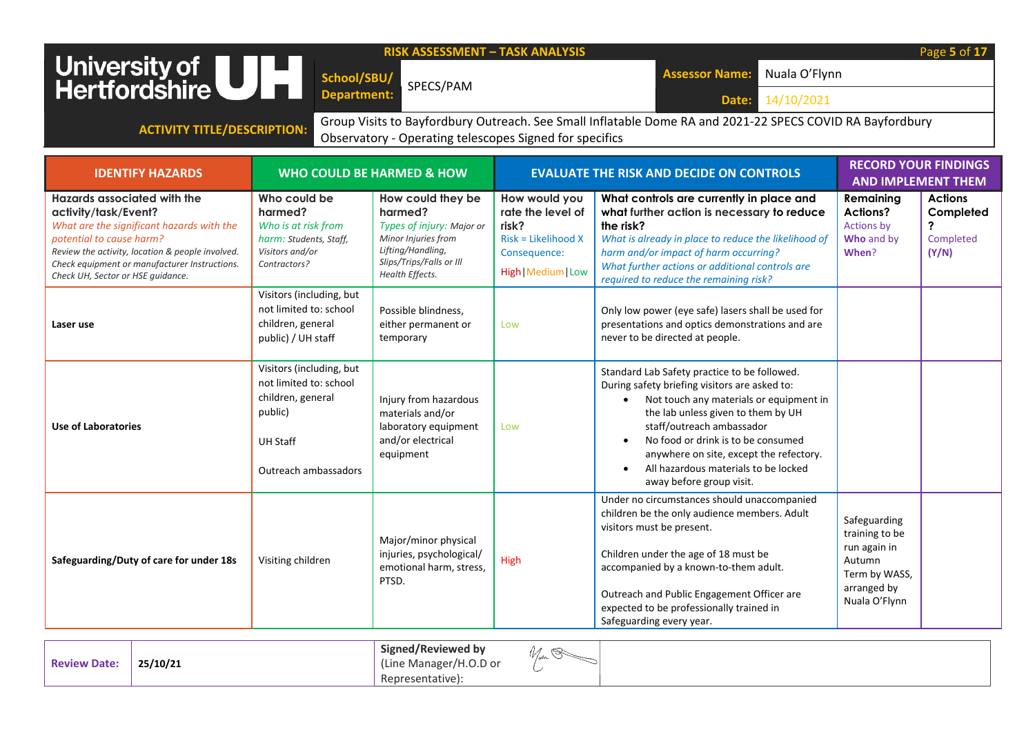| Page 5 of 17<br><b>RISK ASSESSMENT - TASK ANALYSIS</b><br>University of<br>Hertfordshire<br>Nuala O'Flynn<br><b>Assessor Name:</b><br>School/SBU/<br>SPECS/PAM<br>Department:<br>14/10/2021<br>Date:<br>Group Visits to Bayfordbury Outreach. See Small Inflatable Dome RA and 2021-22 SPECS COVID RA Bayfordbury<br><b>ACTIVITY TITLE/DESCRIPTION:</b><br>Observatory - Operating telescopes Signed for specifics |                                                                                                             |                                                                                                                                                      |                                                                                                           |                                                                                                                                                                                                                                                                                                   |                                                                   |                                                        |
|--------------------------------------------------------------------------------------------------------------------------------------------------------------------------------------------------------------------------------------------------------------------------------------------------------------------------------------------------------------------------------------------------------------------|-------------------------------------------------------------------------------------------------------------|------------------------------------------------------------------------------------------------------------------------------------------------------|-----------------------------------------------------------------------------------------------------------|---------------------------------------------------------------------------------------------------------------------------------------------------------------------------------------------------------------------------------------------------------------------------------------------------|-------------------------------------------------------------------|--------------------------------------------------------|
| <b>RECORD YOUR FINDINGS</b><br><b>WHO COULD BE HARMED &amp; HOW</b><br><b>EVALUATE THE RISK AND DECIDE ON CONTROLS</b><br><b>IDENTIFY HAZARDS</b><br><b>AND IMPLEMENT THEM</b>                                                                                                                                                                                                                                     |                                                                                                             |                                                                                                                                                      |                                                                                                           |                                                                                                                                                                                                                                                                                                   |                                                                   |                                                        |
| Hazards associated with the<br>activity/task/Event?<br>What are the significant hazards with the<br>potential to cause harm?<br>Review the activity, location & people involved.<br>Check equipment or manufacturer Instructions.<br>Check UH, Sector or HSE quidance.                                                                                                                                             | Who could be<br>harmed?<br>Who is at risk from<br>harm: Students, Staff,<br>Visitors and/or<br>Contractors? | How could they be<br>harmed?<br>Types of injury: Major or<br>Minor Injuries from<br>Lifting/Handling,<br>Slips/Trips/Falls or Ill<br>Health Effects. | How would you<br>rate the level of<br>risk?<br>Risk = Likelihood X<br>Consequence:<br>High   Medium   Low | What controls are currently in place and<br>what further action is necessary to reduce<br>the risk?<br>What is already in place to reduce the likelihood of<br>harm and/or impact of harm occurring?<br>What further actions or additional controls are<br>required to reduce the remaining risk? | Remaining<br>Actions?<br><b>Actions by</b><br>Who and by<br>When? | <b>Actions</b><br>Completed<br>2<br>Completed<br>(Y/N) |
| Laser use                                                                                                                                                                                                                                                                                                                                                                                                          | Visitors (including, but<br>not limited to: school<br>children, general<br>public) / UH staff               | Possible blindness.<br>either permanent or<br>temporary                                                                                              | Low                                                                                                       | Only low power (eye safe) lasers shall be used for<br>presentations and optics demonstrations and are<br>never to be directed at people.                                                                                                                                                          |                                                                   |                                                        |
|                                                                                                                                                                                                                                                                                                                                                                                                                    | Visitors (including, but<br>not limited to: school<br>children, general                                     | Injury from hazardous                                                                                                                                |                                                                                                           | Standard Lab Safety practice to be followed.<br>During safety briefing visitors are asked to:<br>• Not touch any materials or equipment in                                                                                                                                                        |                                                                   |                                                        |

| Use of Laboratories                     | children, general<br>public)<br><b>UH Staff</b><br>Outreach ambassadors | Injury from hazardous<br>materials and/or<br>laboratory equipment<br>and/or electrical<br>equipment | Low  | During safety briefing visitors are asked to.<br>Not touch any materials or equipment in<br>the lab unless given to them by UH<br>staff/outreach ambassador<br>No food or drink is to be consumed<br>anywhere on site, except the refectory.<br>All hazardous materials to be locked<br>away before group visit.                |                                                                                                           |  |
|-----------------------------------------|-------------------------------------------------------------------------|-----------------------------------------------------------------------------------------------------|------|---------------------------------------------------------------------------------------------------------------------------------------------------------------------------------------------------------------------------------------------------------------------------------------------------------------------------------|-----------------------------------------------------------------------------------------------------------|--|
| Safeguarding/Duty of care for under 18s | Visiting children                                                       | Major/minor physical<br>injuries, psychological/<br>emotional harm, stress,<br>PTSD.                | High | Under no circumstances should unaccompanied<br>children be the only audience members. Adult<br>visitors must be present.<br>Children under the age of 18 must be<br>accompanied by a known-to-them adult.<br>Outreach and Public Engagement Officer are<br>expected to be professionally trained in<br>Safeguarding every year. | Safeguarding<br>training to be<br>run again in<br>Autumn<br>Term by WASS,<br>arranged by<br>Nuala O'Flynn |  |

| <b>Review Date:</b> | 25/10/21 | <b>Signed/Reviewed by</b><br><i>W/ar</i><br>(Line Manager/H.O.D or<br>Representative): |  |
|---------------------|----------|----------------------------------------------------------------------------------------|--|
|---------------------|----------|----------------------------------------------------------------------------------------|--|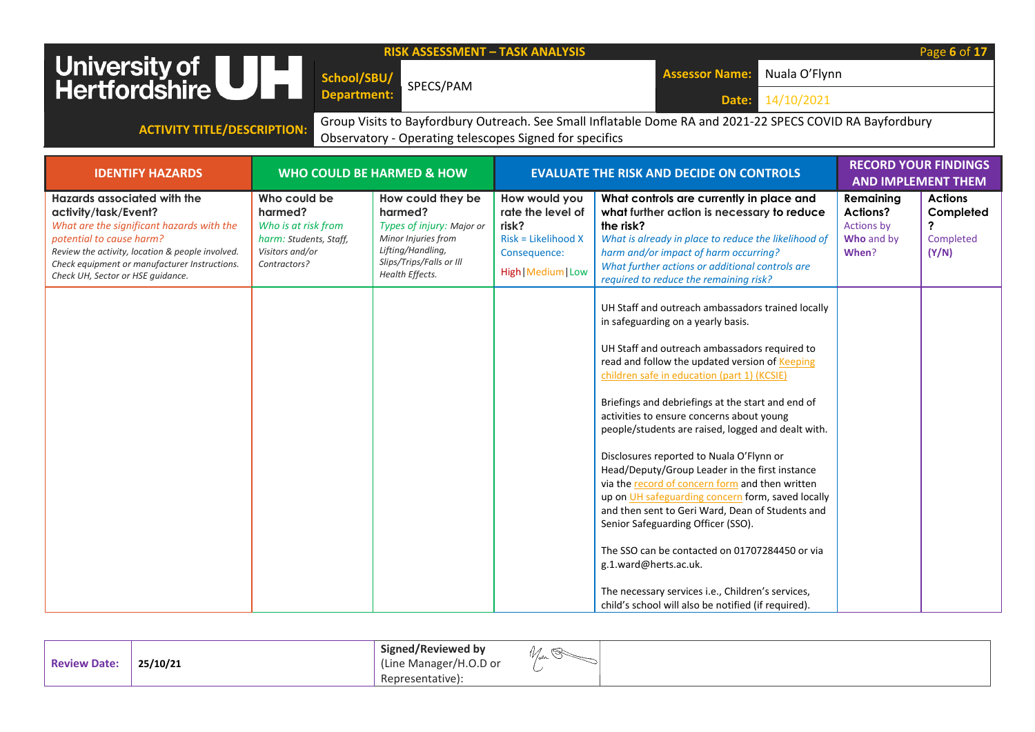|                                                                                                                                                                                                                                                                        |                                                                                                             | <b>RISK ASSESSMENT - TASK ANALYSIS</b>                                                                                                               |                                                                                                           |                                                                                                                                                                                                                                                                                                                                                                                                                                                                                                                                                                                                                                                                                                                                                                                                                                                                                          |                                                                   | Page 6 of 17                                           |
|------------------------------------------------------------------------------------------------------------------------------------------------------------------------------------------------------------------------------------------------------------------------|-------------------------------------------------------------------------------------------------------------|------------------------------------------------------------------------------------------------------------------------------------------------------|-----------------------------------------------------------------------------------------------------------|------------------------------------------------------------------------------------------------------------------------------------------------------------------------------------------------------------------------------------------------------------------------------------------------------------------------------------------------------------------------------------------------------------------------------------------------------------------------------------------------------------------------------------------------------------------------------------------------------------------------------------------------------------------------------------------------------------------------------------------------------------------------------------------------------------------------------------------------------------------------------------------|-------------------------------------------------------------------|--------------------------------------------------------|
| University of <b>ULLER</b><br>Hertfordshire                                                                                                                                                                                                                            | School/SBU/                                                                                                 |                                                                                                                                                      |                                                                                                           | Nuala O'Flynn<br><b>Assessor Name:</b>                                                                                                                                                                                                                                                                                                                                                                                                                                                                                                                                                                                                                                                                                                                                                                                                                                                   |                                                                   |                                                        |
|                                                                                                                                                                                                                                                                        | <b>Department:</b>                                                                                          | SPECS/PAM                                                                                                                                            |                                                                                                           | 14/10/2021<br>Date:                                                                                                                                                                                                                                                                                                                                                                                                                                                                                                                                                                                                                                                                                                                                                                                                                                                                      |                                                                   |                                                        |
|                                                                                                                                                                                                                                                                        |                                                                                                             |                                                                                                                                                      |                                                                                                           | Group Visits to Bayfordbury Outreach. See Small Inflatable Dome RA and 2021-22 SPECS COVID RA Bayfordbury                                                                                                                                                                                                                                                                                                                                                                                                                                                                                                                                                                                                                                                                                                                                                                                |                                                                   |                                                        |
| <b>ACTIVITY TITLE/DESCRIPTION:</b>                                                                                                                                                                                                                                     |                                                                                                             | Observatory - Operating telescopes Signed for specifics                                                                                              |                                                                                                           |                                                                                                                                                                                                                                                                                                                                                                                                                                                                                                                                                                                                                                                                                                                                                                                                                                                                                          |                                                                   |                                                        |
|                                                                                                                                                                                                                                                                        |                                                                                                             |                                                                                                                                                      |                                                                                                           |                                                                                                                                                                                                                                                                                                                                                                                                                                                                                                                                                                                                                                                                                                                                                                                                                                                                                          |                                                                   | <b>RECORD YOUR FINDINGS</b>                            |
| <b>IDENTIFY HAZARDS</b>                                                                                                                                                                                                                                                |                                                                                                             | <b>WHO COULD BE HARMED &amp; HOW</b>                                                                                                                 |                                                                                                           | <b>EVALUATE THE RISK AND DECIDE ON CONTROLS</b>                                                                                                                                                                                                                                                                                                                                                                                                                                                                                                                                                                                                                                                                                                                                                                                                                                          |                                                                   | <b>AND IMPLEMENT THEM</b>                              |
| Hazards associated with the<br>activity/task/Event?<br>What are the significant hazards with the<br>potential to cause harm?<br>Review the activity, location & people involved.<br>Check equipment or manufacturer Instructions.<br>Check UH, Sector or HSE quidance. | Who could be<br>harmed?<br>Who is at risk from<br>harm: Students, Staff,<br>Visitors and/or<br>Contractors? | How could they be<br>harmed?<br>Types of injury: Major or<br>Minor Injuries from<br>Lifting/Handling,<br>Slips/Trips/Falls or Ill<br>Health Effects. | How would you<br>rate the level of<br>risk?<br>Risk = Likelihood X<br>Consequence:<br>High   Medium   Low | What controls are currently in place and<br>what further action is necessary to reduce<br>the risk?<br>What is already in place to reduce the likelihood of<br>harm and/or impact of harm occurring?<br>What further actions or additional controls are<br>required to reduce the remaining risk?                                                                                                                                                                                                                                                                                                                                                                                                                                                                                                                                                                                        | Remaining<br>Actions?<br><b>Actions by</b><br>Who and by<br>When? | <b>Actions</b><br>Completed<br>?<br>Completed<br>(Y/N) |
|                                                                                                                                                                                                                                                                        |                                                                                                             |                                                                                                                                                      |                                                                                                           | UH Staff and outreach ambassadors trained locally<br>in safeguarding on a yearly basis.<br>UH Staff and outreach ambassadors required to<br>read and follow the updated version of Keeping<br>children safe in education (part 1) (KCSIE)<br>Briefings and debriefings at the start and end of<br>activities to ensure concerns about young<br>people/students are raised, logged and dealt with.<br>Disclosures reported to Nuala O'Flynn or<br>Head/Deputy/Group Leader in the first instance<br>via the record of concern form and then written<br>up on UH safeguarding concern form, saved locally<br>and then sent to Geri Ward, Dean of Students and<br>Senior Safeguarding Officer (SSO).<br>The SSO can be contacted on 01707284450 or via<br>g.1.ward@herts.ac.uk.<br>The necessary services i.e., Children's services,<br>child's school will also be notified (if required). |                                                                   |                                                        |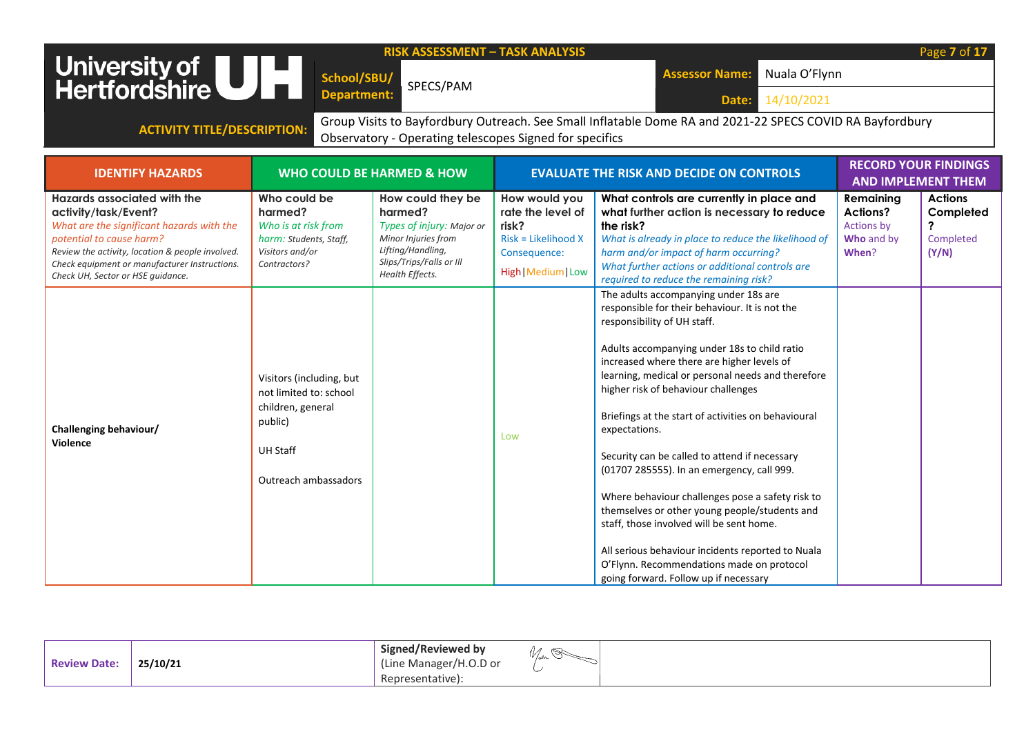| <b>RISK ASSESSMENT - TASK ANALYSIS</b><br>University of <b>UNITE</b><br>Hertfordshire<br>Nuala O'Flynn<br><b>Assessor Name:</b><br>School/SBU/<br>SPECS/PAM<br><b>Department:</b><br>14/10/2021<br>Date:                                                                      |                                                                                                                               |                                                                                                                                                      |                                                                                                             |                                                                                                                                                                                                                                                                                                                                                                                                                                                                                                                                                                                                                                                                                                                                                                                     |                                                                          | Page 7 of 17                                                                    |  |  |
|-------------------------------------------------------------------------------------------------------------------------------------------------------------------------------------------------------------------------------------------------------------------------------|-------------------------------------------------------------------------------------------------------------------------------|------------------------------------------------------------------------------------------------------------------------------------------------------|-------------------------------------------------------------------------------------------------------------|-------------------------------------------------------------------------------------------------------------------------------------------------------------------------------------------------------------------------------------------------------------------------------------------------------------------------------------------------------------------------------------------------------------------------------------------------------------------------------------------------------------------------------------------------------------------------------------------------------------------------------------------------------------------------------------------------------------------------------------------------------------------------------------|--------------------------------------------------------------------------|---------------------------------------------------------------------------------|--|--|
| Group Visits to Bayfordbury Outreach. See Small Inflatable Dome RA and 2021-22 SPECS COVID RA Bayfordbury<br><b>ACTIVITY TITLE/DESCRIPTION:</b><br>Observatory - Operating telescopes Signed for specifics                                                                    |                                                                                                                               |                                                                                                                                                      |                                                                                                             |                                                                                                                                                                                                                                                                                                                                                                                                                                                                                                                                                                                                                                                                                                                                                                                     |                                                                          |                                                                                 |  |  |
| <b>IDENTIFY HAZARDS</b>                                                                                                                                                                                                                                                       |                                                                                                                               | <b>WHO COULD BE HARMED &amp; HOW</b>                                                                                                                 |                                                                                                             | <b>EVALUATE THE RISK AND DECIDE ON CONTROLS</b>                                                                                                                                                                                                                                                                                                                                                                                                                                                                                                                                                                                                                                                                                                                                     | <b>RECORD YOUR FINDINGS</b><br><b>AND IMPLEMENT THEM</b>                 |                                                                                 |  |  |
| <b>Hazards associated with the</b><br>activity/task/Event?<br>What are the significant hazards with the<br>potential to cause harm?<br>Review the activity, location & people involved.<br>Check equipment or manufacturer Instructions.<br>Check UH, Sector or HSE guidance. | Who could be<br>harmed?<br>Who is at risk from<br>harm: Students, Staff,<br>Visitors and/or<br>Contractors?                   | How could they be<br>harmed?<br>Types of injury: Major or<br>Minor Injuries from<br>Lifting/Handling,<br>Slips/Trips/Falls or Ill<br>Health Effects. | How would you<br>rate the level of<br>risk?<br>$Risk = Likelihood X$<br>Consequence:<br>High   Medium   Low | What controls are currently in place and<br>what further action is necessary to reduce<br>the risk?<br>What is already in place to reduce the likelihood of<br>harm and/or impact of harm occurring?<br>What further actions or additional controls are<br>required to reduce the remaining risk?                                                                                                                                                                                                                                                                                                                                                                                                                                                                                   | Remaining<br><b>Actions?</b><br><b>Actions by</b><br>Who and by<br>When? | <b>Actions</b><br>Completed<br>$\boldsymbol{\mathcal{P}}$<br>Completed<br>(Y/N) |  |  |
| Challenging behaviour/<br><b>Violence</b>                                                                                                                                                                                                                                     | Visitors (including, but<br>not limited to: school<br>children, general<br>public)<br><b>UH Staff</b><br>Outreach ambassadors |                                                                                                                                                      | Low                                                                                                         | The adults accompanying under 18s are<br>responsible for their behaviour. It is not the<br>responsibility of UH staff.<br>Adults accompanying under 18s to child ratio<br>increased where there are higher levels of<br>learning, medical or personal needs and therefore<br>higher risk of behaviour challenges<br>Briefings at the start of activities on behavioural<br>expectations.<br>Security can be called to attend if necessary<br>(01707 285555). In an emergency, call 999.<br>Where behaviour challenges pose a safety risk to<br>themselves or other young people/students and<br>staff, those involved will be sent home.<br>All serious behaviour incidents reported to Nuala<br>O'Flynn. Recommendations made on protocol<br>going forward. Follow up if necessary |                                                                          |                                                                                 |  |  |

|                     |          | Signed/Reviewed by     | $\sim$ |
|---------------------|----------|------------------------|--------|
| <b>Review Date:</b> | 25/10/21 | (Line Manager/H.O.D or | مصرح   |
|                     |          | Representative):       |        |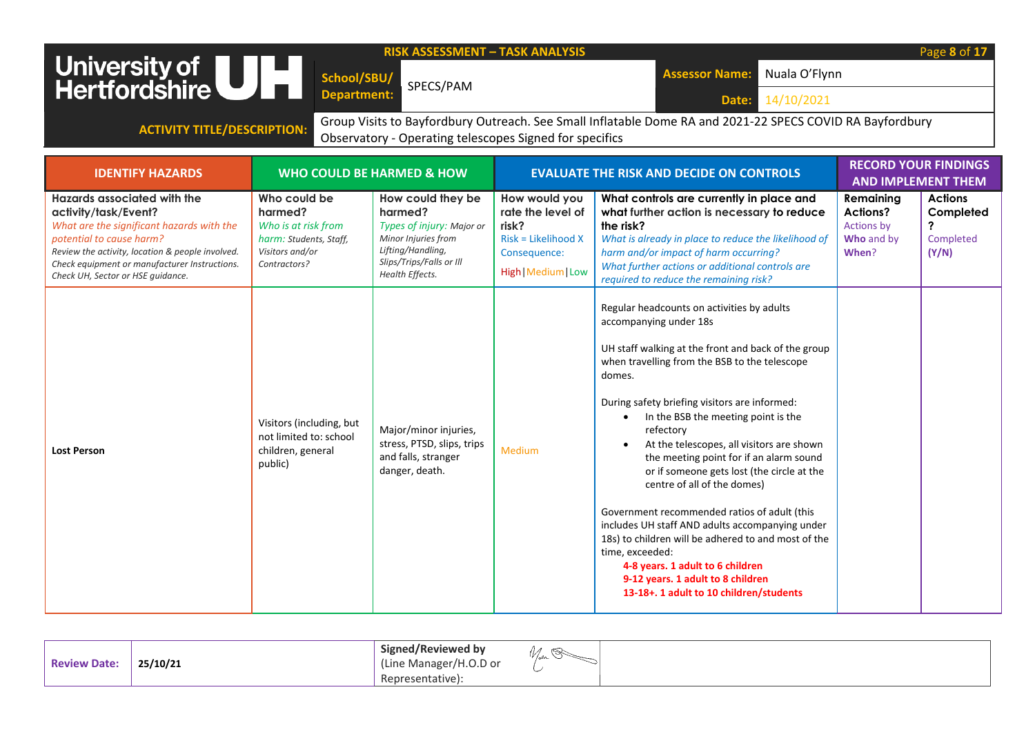|                                                                                                                                                                                                                                                                               |                                                                                                                                                     | <b>RISK ASSESSMENT - TASK ANALYSIS</b>                                                                                                               |                                                                                                           |                                                                                                                                                                                                                                                                                                                                                                                                                                                                                                                                                                                                                                                                                                                                                                                |                                                                          | Page 8 of 17                                                                 |  |  |  |
|-------------------------------------------------------------------------------------------------------------------------------------------------------------------------------------------------------------------------------------------------------------------------------|-----------------------------------------------------------------------------------------------------------------------------------------------------|------------------------------------------------------------------------------------------------------------------------------------------------------|-----------------------------------------------------------------------------------------------------------|--------------------------------------------------------------------------------------------------------------------------------------------------------------------------------------------------------------------------------------------------------------------------------------------------------------------------------------------------------------------------------------------------------------------------------------------------------------------------------------------------------------------------------------------------------------------------------------------------------------------------------------------------------------------------------------------------------------------------------------------------------------------------------|--------------------------------------------------------------------------|------------------------------------------------------------------------------|--|--|--|
| University of UIL                                                                                                                                                                                                                                                             | School/SBU/                                                                                                                                         | SPECS/PAM                                                                                                                                            |                                                                                                           | Nuala O'Flynn<br><b>Assessor Name:</b>                                                                                                                                                                                                                                                                                                                                                                                                                                                                                                                                                                                                                                                                                                                                         |                                                                          |                                                                              |  |  |  |
|                                                                                                                                                                                                                                                                               | <b>Department:</b>                                                                                                                                  |                                                                                                                                                      |                                                                                                           | 14/10/2021<br>Date:                                                                                                                                                                                                                                                                                                                                                                                                                                                                                                                                                                                                                                                                                                                                                            |                                                                          |                                                                              |  |  |  |
| <b>ACTIVITY TITLE/DESCRIPTION:</b>                                                                                                                                                                                                                                            |                                                                                                                                                     |                                                                                                                                                      |                                                                                                           | Group Visits to Bayfordbury Outreach. See Small Inflatable Dome RA and 2021-22 SPECS COVID RA Bayfordbury                                                                                                                                                                                                                                                                                                                                                                                                                                                                                                                                                                                                                                                                      |                                                                          |                                                                              |  |  |  |
|                                                                                                                                                                                                                                                                               |                                                                                                                                                     | Observatory - Operating telescopes Signed for specifics                                                                                              |                                                                                                           |                                                                                                                                                                                                                                                                                                                                                                                                                                                                                                                                                                                                                                                                                                                                                                                |                                                                          |                                                                              |  |  |  |
| <b>IDENTIFY HAZARDS</b>                                                                                                                                                                                                                                                       | <b>RECORD YOUR FINDINGS</b><br><b>WHO COULD BE HARMED &amp; HOW</b><br><b>EVALUATE THE RISK AND DECIDE ON CONTROLS</b><br><b>AND IMPLEMENT THEM</b> |                                                                                                                                                      |                                                                                                           |                                                                                                                                                                                                                                                                                                                                                                                                                                                                                                                                                                                                                                                                                                                                                                                |                                                                          |                                                                              |  |  |  |
| <b>Hazards associated with the</b><br>activity/task/Event?<br>What are the significant hazards with the<br>potential to cause harm?<br>Review the activity, location & people involved.<br>Check equipment or manufacturer Instructions.<br>Check UH, Sector or HSE quidance. | Who could be<br>harmed?<br>Who is at risk from<br>harm: Students, Staff,<br>Visitors and/or<br>Contractors?                                         | How could they be<br>harmed?<br>Types of injury: Major or<br>Minor Injuries from<br>Lifting/Handling,<br>Slips/Trips/Falls or Ill<br>Health Effects. | How would you<br>rate the level of<br>risk?<br>Risk = Likelihood X<br>Consequence:<br>High   Medium   Low | What controls are currently in place and<br>what further action is necessary to reduce<br>the risk?<br>What is already in place to reduce the likelihood of<br>harm and/or impact of harm occurring?<br>What further actions or additional controls are<br>required to reduce the remaining risk?                                                                                                                                                                                                                                                                                                                                                                                                                                                                              | Remaining<br><b>Actions?</b><br><b>Actions by</b><br>Who and by<br>When? | <b>Actions</b><br>Completed<br>$\overline{\mathbf{?}}$<br>Completed<br>(Y/N) |  |  |  |
| <b>Lost Person</b>                                                                                                                                                                                                                                                            | Visitors (including, but<br>not limited to: school<br>children, general<br>public)                                                                  | Major/minor injuries,<br>stress, PTSD, slips, trips<br>and falls, stranger<br>danger, death.                                                         | Medium                                                                                                    | Regular headcounts on activities by adults<br>accompanying under 18s<br>UH staff walking at the front and back of the group<br>when travelling from the BSB to the telescope<br>domes.<br>During safety briefing visitors are informed:<br>In the BSB the meeting point is the<br>$\bullet$<br>refectory<br>At the telescopes, all visitors are shown<br>the meeting point for if an alarm sound<br>or if someone gets lost (the circle at the<br>centre of all of the domes)<br>Government recommended ratios of adult (this<br>includes UH staff AND adults accompanying under<br>18s) to children will be adhered to and most of the<br>time, exceeded:<br>4-8 years. 1 adult to 6 children<br>9-12 years. 1 adult to 8 children<br>13-18+. 1 adult to 10 children/students |                                                                          |                                                                              |  |  |  |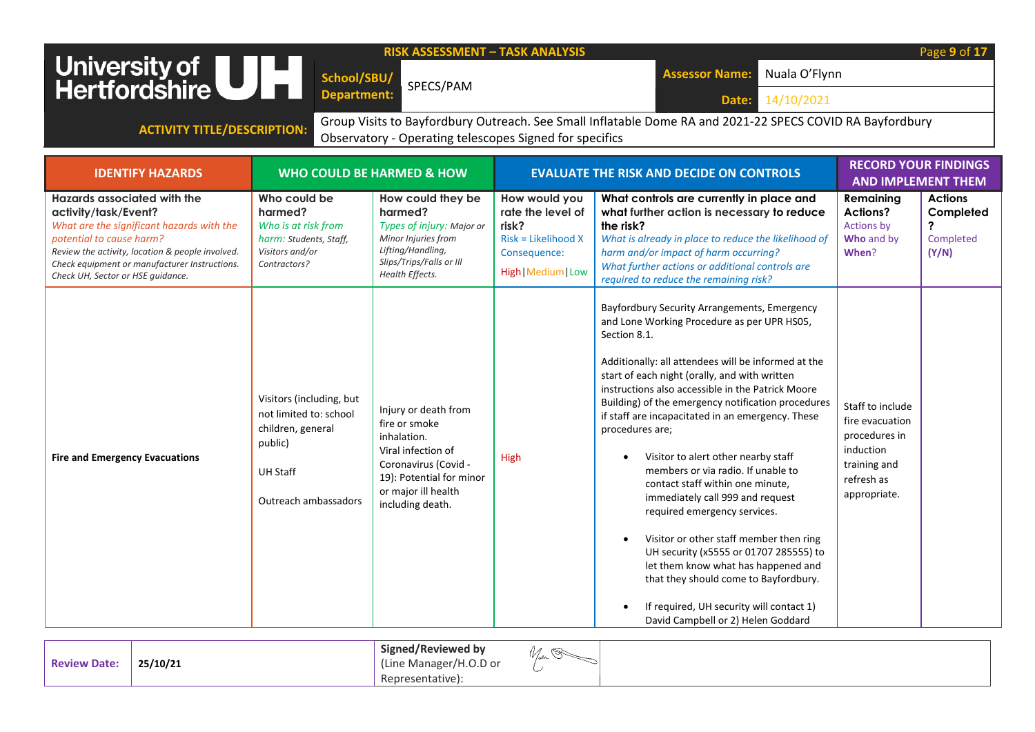| <b>RISK ASSESSMENT - TASK ANALYSIS</b><br>Page 9 of 17<br>University of UH<br>Nuala O'Flynn<br><b>Assessor Name:</b><br>School/SBU/<br>SPECS/PAM<br><b>Department:</b><br>14/10/2021<br>Date:                                                                                 |                                                                                                                               |                                                                                                                                                                           |                                                                                                           |                                                                                                                                                                                                                                                                                                                                                                                                                                                                                                                                                                                                                                                                                                                                                                                                                                                    |                                                                                                                 |                                                        |  |  |
|-------------------------------------------------------------------------------------------------------------------------------------------------------------------------------------------------------------------------------------------------------------------------------|-------------------------------------------------------------------------------------------------------------------------------|---------------------------------------------------------------------------------------------------------------------------------------------------------------------------|-----------------------------------------------------------------------------------------------------------|----------------------------------------------------------------------------------------------------------------------------------------------------------------------------------------------------------------------------------------------------------------------------------------------------------------------------------------------------------------------------------------------------------------------------------------------------------------------------------------------------------------------------------------------------------------------------------------------------------------------------------------------------------------------------------------------------------------------------------------------------------------------------------------------------------------------------------------------------|-----------------------------------------------------------------------------------------------------------------|--------------------------------------------------------|--|--|
| Group Visits to Bayfordbury Outreach. See Small Inflatable Dome RA and 2021-22 SPECS COVID RA Bayfordbury<br><b>ACTIVITY TITLE/DESCRIPTION:</b><br>Observatory - Operating telescopes Signed for specifics                                                                    |                                                                                                                               |                                                                                                                                                                           |                                                                                                           |                                                                                                                                                                                                                                                                                                                                                                                                                                                                                                                                                                                                                                                                                                                                                                                                                                                    |                                                                                                                 |                                                        |  |  |
| <b>IDENTIFY HAZARDS</b>                                                                                                                                                                                                                                                       |                                                                                                                               | <b>WHO COULD BE HARMED &amp; HOW</b>                                                                                                                                      |                                                                                                           | <b>EVALUATE THE RISK AND DECIDE ON CONTROLS</b>                                                                                                                                                                                                                                                                                                                                                                                                                                                                                                                                                                                                                                                                                                                                                                                                    | <b>RECORD YOUR FINDINGS</b><br><b>AND IMPLEMENT THEM</b>                                                        |                                                        |  |  |
| <b>Hazards associated with the</b><br>activity/task/Event?<br>What are the significant hazards with the<br>potential to cause harm?<br>Review the activity, location & people involved.<br>Check equipment or manufacturer Instructions.<br>Check UH, Sector or HSE quidance. | Who could be<br>harmed?<br>Who is at risk from<br>harm: Students, Staff,<br>Visitors and/or<br>Contractors?                   | How could they be<br>harmed?<br>Types of injury: Major or<br>Minor Injuries from<br>Lifting/Handling,<br>Slips/Trips/Falls or Ill<br>Health Effects.                      | How would you<br>rate the level of<br>risk?<br>Risk = Likelihood X<br>Consequence:<br>High   Medium   Low | What controls are currently in place and<br>what further action is necessary to reduce<br>the risk?<br>What is already in place to reduce the likelihood of<br>harm and/or impact of harm occurring?<br>What further actions or additional controls are<br>required to reduce the remaining risk?                                                                                                                                                                                                                                                                                                                                                                                                                                                                                                                                                  | Remaining<br><b>Actions?</b><br>Actions by<br>Who and by<br>When?                                               | <b>Actions</b><br>Completed<br>?<br>Completed<br>(Y/N) |  |  |
| <b>Fire and Emergency Evacuations</b>                                                                                                                                                                                                                                         | Visitors (including, but<br>not limited to: school<br>children, general<br>public)<br><b>UH Staff</b><br>Outreach ambassadors | Injury or death from<br>fire or smoke<br>inhalation.<br>Viral infection of<br>Coronavirus (Covid -<br>19): Potential for minor<br>or major ill health<br>including death. | High                                                                                                      | Bayfordbury Security Arrangements, Emergency<br>and Lone Working Procedure as per UPR HS05,<br>Section 8.1.<br>Additionally: all attendees will be informed at the<br>start of each night (orally, and with written<br>instructions also accessible in the Patrick Moore<br>Building) of the emergency notification procedures<br>if staff are incapacitated in an emergency. These<br>procedures are;<br>Visitor to alert other nearby staff<br>members or via radio. If unable to<br>contact staff within one minute,<br>immediately call 999 and request<br>required emergency services.<br>Visitor or other staff member then ring<br>UH security (x5555 or 01707 285555) to<br>let them know what has happened and<br>that they should come to Bayfordbury.<br>If required, UH security will contact 1)<br>David Campbell or 2) Helen Goddard | Staff to include<br>fire evacuation<br>procedures in<br>induction<br>training and<br>refresh as<br>appropriate. |                                                        |  |  |

| <b>Doviguu</b><br>Date: | 25/10/21 | Signed/Reviewed by<br>117<br>≫<br>مصر ۲<br>$\sim$ $\sim$<br>Manager/<br>H.O.D or<br>(Line<br>$\sim$ |
|-------------------------|----------|-----------------------------------------------------------------------------------------------------|
|                         |          | Representative):                                                                                    |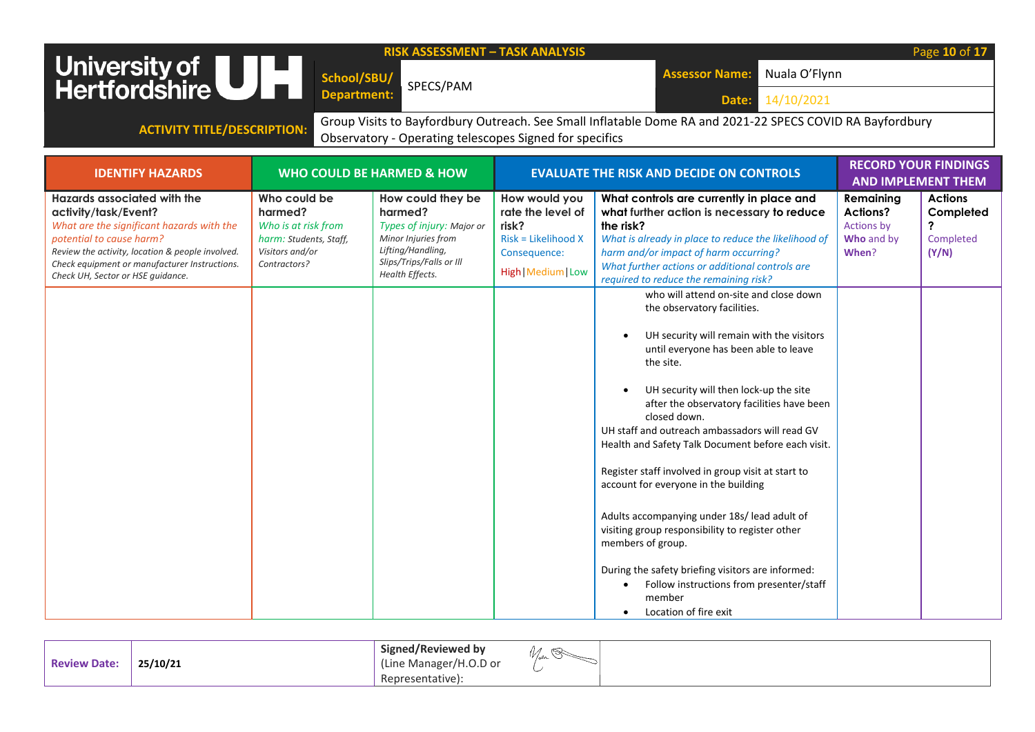|                                                                                                                                                                                                                                                                                                                      | School/SBU/                                                   |                                                                                                                                                      |                                                                                                             |                                                                                                                                                                                                                                                                                                                                                                                                                                                                                                                                                                                                                                                                                                                                                                                                                                                                                                                                                                                                                                                                      |                                                            | Page 10 of 17                                          |  |
|----------------------------------------------------------------------------------------------------------------------------------------------------------------------------------------------------------------------------------------------------------------------------------------------------------------------|---------------------------------------------------------------|------------------------------------------------------------------------------------------------------------------------------------------------------|-------------------------------------------------------------------------------------------------------------|----------------------------------------------------------------------------------------------------------------------------------------------------------------------------------------------------------------------------------------------------------------------------------------------------------------------------------------------------------------------------------------------------------------------------------------------------------------------------------------------------------------------------------------------------------------------------------------------------------------------------------------------------------------------------------------------------------------------------------------------------------------------------------------------------------------------------------------------------------------------------------------------------------------------------------------------------------------------------------------------------------------------------------------------------------------------|------------------------------------------------------------|--------------------------------------------------------|--|
|                                                                                                                                                                                                                                                                                                                      |                                                               |                                                                                                                                                      |                                                                                                             | Nuala O'Flynn<br><b>Assessor Name:</b>                                                                                                                                                                                                                                                                                                                                                                                                                                                                                                                                                                                                                                                                                                                                                                                                                                                                                                                                                                                                                               |                                                            |                                                        |  |
| University of UH                                                                                                                                                                                                                                                                                                     | <b>Department:</b>                                            | SPECS/PAM                                                                                                                                            |                                                                                                             | 14/10/2021<br>Date:                                                                                                                                                                                                                                                                                                                                                                                                                                                                                                                                                                                                                                                                                                                                                                                                                                                                                                                                                                                                                                                  |                                                            |                                                        |  |
|                                                                                                                                                                                                                                                                                                                      |                                                               |                                                                                                                                                      |                                                                                                             |                                                                                                                                                                                                                                                                                                                                                                                                                                                                                                                                                                                                                                                                                                                                                                                                                                                                                                                                                                                                                                                                      |                                                            |                                                        |  |
| Group Visits to Bayfordbury Outreach. See Small Inflatable Dome RA and 2021-22 SPECS COVID RA Bayfordbury<br><b>ACTIVITY TITLE/DESCRIPTION:</b><br>Observatory - Operating telescopes Signed for specifics                                                                                                           |                                                               |                                                                                                                                                      |                                                                                                             |                                                                                                                                                                                                                                                                                                                                                                                                                                                                                                                                                                                                                                                                                                                                                                                                                                                                                                                                                                                                                                                                      |                                                            |                                                        |  |
|                                                                                                                                                                                                                                                                                                                      |                                                               |                                                                                                                                                      |                                                                                                             |                                                                                                                                                                                                                                                                                                                                                                                                                                                                                                                                                                                                                                                                                                                                                                                                                                                                                                                                                                                                                                                                      |                                                            |                                                        |  |
| <b>IDENTIFY HAZARDS</b>                                                                                                                                                                                                                                                                                              |                                                               | <b>WHO COULD BE HARMED &amp; HOW</b>                                                                                                                 |                                                                                                             | <b>EVALUATE THE RISK AND DECIDE ON CONTROLS</b>                                                                                                                                                                                                                                                                                                                                                                                                                                                                                                                                                                                                                                                                                                                                                                                                                                                                                                                                                                                                                      | <b>AND IMPLEMENT THEM</b>                                  | <b>RECORD YOUR FINDINGS</b>                            |  |
| Hazards associated with the<br>harmed?<br>activity/task/Event?<br>What are the significant hazards with the<br>potential to cause harm?<br>Visitors and/or<br>Review the activity, location & people involved.<br>Check equipment or manufacturer Instructions.<br>Contractors?<br>Check UH, Sector or HSE guidance. | Who could be<br>Who is at risk from<br>harm: Students, Staff, | How could they be<br>harmed?<br>Types of injury: Major or<br>Minor Injuries from<br>Lifting/Handling,<br>Slips/Trips/Falls or Ill<br>Health Effects. | How would you<br>rate the level of<br>risk?<br>$Risk = Likelihood X$<br>Consequence:<br>High   Medium   Low | What controls are currently in place and<br>what further action is necessary to reduce<br>the risk?<br>What is already in place to reduce the likelihood of<br>harm and/or impact of harm occurring?<br>What further actions or additional controls are<br>required to reduce the remaining risk?<br>who will attend on-site and close down<br>the observatory facilities.<br>UH security will remain with the visitors<br>until everyone has been able to leave<br>the site.<br>UH security will then lock-up the site<br>after the observatory facilities have been<br>closed down.<br>UH staff and outreach ambassadors will read GV<br>Health and Safety Talk Document before each visit.<br>Register staff involved in group visit at start to<br>account for everyone in the building<br>Adults accompanying under 18s/ lead adult of<br>visiting group responsibility to register other<br>members of group.<br>During the safety briefing visitors are informed:<br>Follow instructions from presenter/staff<br>$\bullet$<br>member<br>Location of fire exit | Remaining<br>Actions?<br>Actions by<br>Who and by<br>When? | <b>Actions</b><br>Completed<br>?<br>Completed<br>(Y/N) |  |

| <b>Review Date:</b> | 25/10/21 | Signed/Reviewed by<br>(Line Manager/H.O.D or | W/sn |
|---------------------|----------|----------------------------------------------|------|
|                     |          | Representative):                             |      |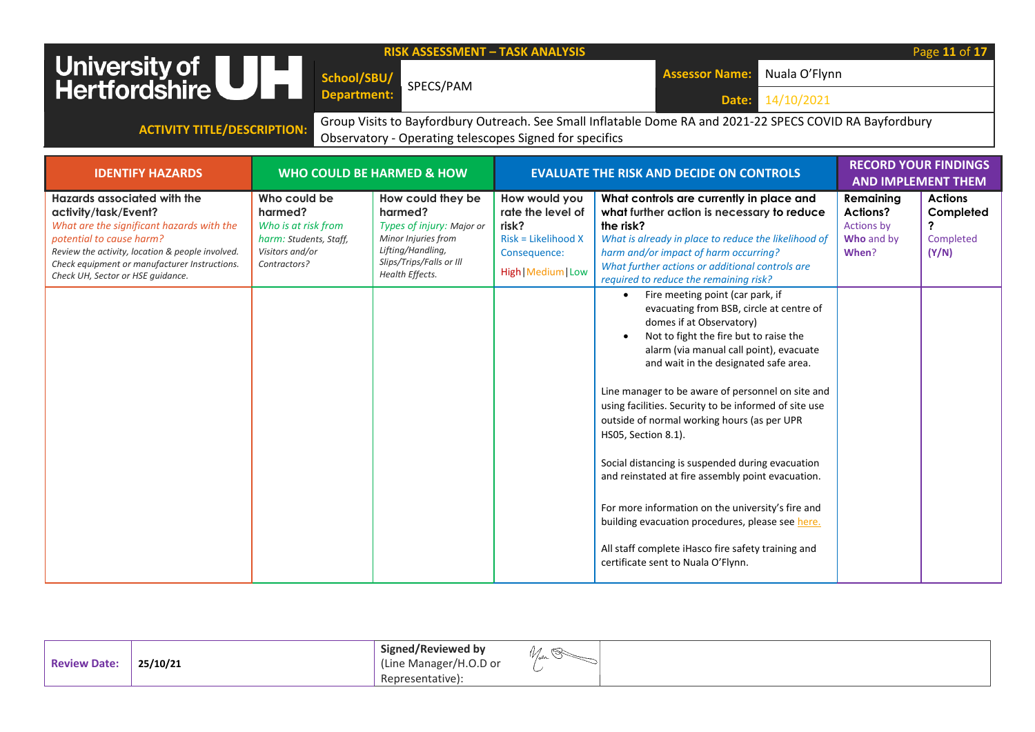| <b>RISK ASSESSMENT - TASK ANALYSIS</b><br>University of <b>ULL</b><br>Hertfordshire<br>Nuala O'Flynn<br><b>Assessor Name:</b><br>School/SBU/<br>SPECS/PAM<br><b>Department:</b><br>14/10/2021<br>Date:                                                                        |                                                                                                             |                                                                                                                                                      |                                                                                                           |                                                                                                                                                                                                                                                                                                                                                                                                                                                                                                                                                                                                                                                                                                                                                                                                                                                                                                                                                                                                                                                            |                                                                          | Page 11 of 17                                          |  |
|-------------------------------------------------------------------------------------------------------------------------------------------------------------------------------------------------------------------------------------------------------------------------------|-------------------------------------------------------------------------------------------------------------|------------------------------------------------------------------------------------------------------------------------------------------------------|-----------------------------------------------------------------------------------------------------------|------------------------------------------------------------------------------------------------------------------------------------------------------------------------------------------------------------------------------------------------------------------------------------------------------------------------------------------------------------------------------------------------------------------------------------------------------------------------------------------------------------------------------------------------------------------------------------------------------------------------------------------------------------------------------------------------------------------------------------------------------------------------------------------------------------------------------------------------------------------------------------------------------------------------------------------------------------------------------------------------------------------------------------------------------------|--------------------------------------------------------------------------|--------------------------------------------------------|--|
| Group Visits to Bayfordbury Outreach. See Small Inflatable Dome RA and 2021-22 SPECS COVID RA Bayfordbury<br><b>ACTIVITY TITLE/DESCRIPTION:</b><br>Observatory - Operating telescopes Signed for specifics                                                                    |                                                                                                             |                                                                                                                                                      |                                                                                                           |                                                                                                                                                                                                                                                                                                                                                                                                                                                                                                                                                                                                                                                                                                                                                                                                                                                                                                                                                                                                                                                            |                                                                          |                                                        |  |
| <b>IDENTIFY HAZARDS</b>                                                                                                                                                                                                                                                       |                                                                                                             | <b>WHO COULD BE HARMED &amp; HOW</b>                                                                                                                 |                                                                                                           | <b>EVALUATE THE RISK AND DECIDE ON CONTROLS</b>                                                                                                                                                                                                                                                                                                                                                                                                                                                                                                                                                                                                                                                                                                                                                                                                                                                                                                                                                                                                            | <b>RECORD YOUR FINDINGS</b><br><b>AND IMPLEMENT THEM</b>                 |                                                        |  |
| <b>Hazards associated with the</b><br>activity/task/Event?<br>What are the significant hazards with the<br>potential to cause harm?<br>Review the activity, location & people involved.<br>Check equipment or manufacturer Instructions.<br>Check UH, Sector or HSE quidance. | Who could be<br>harmed?<br>Who is at risk from<br>harm: Students, Staff,<br>Visitors and/or<br>Contractors? | How could they be<br>harmed?<br>Types of injury: Major or<br>Minor Injuries from<br>Lifting/Handling,<br>Slips/Trips/Falls or Ill<br>Health Effects. | How would you<br>rate the level of<br>risk?<br>Risk = Likelihood X<br>Consequence:<br>High   Medium   Low | What controls are currently in place and<br>what further action is necessary to reduce<br>the risk?<br>What is already in place to reduce the likelihood of<br>harm and/or impact of harm occurring?<br>What further actions or additional controls are<br>required to reduce the remaining risk?<br>Fire meeting point (car park, if<br>$\bullet$<br>evacuating from BSB, circle at centre of<br>domes if at Observatory)<br>Not to fight the fire but to raise the<br>alarm (via manual call point), evacuate<br>and wait in the designated safe area.<br>Line manager to be aware of personnel on site and<br>using facilities. Security to be informed of site use<br>outside of normal working hours (as per UPR<br>HS05, Section 8.1).<br>Social distancing is suspended during evacuation<br>and reinstated at fire assembly point evacuation.<br>For more information on the university's fire and<br>building evacuation procedures, please see here.<br>All staff complete iHasco fire safety training and<br>certificate sent to Nuala O'Flynn. | Remainina<br><b>Actions?</b><br><b>Actions by</b><br>Who and by<br>When? | <b>Actions</b><br>Completed<br>?<br>Completed<br>(Y/N) |  |

| <b>Review Date:</b> | 25/10/21 | Signed/Reviewed by<br>(Line Manager/H.O.D or | $1 - 0$ |
|---------------------|----------|----------------------------------------------|---------|
|                     |          | esentative) <sup>.</sup><br>Repr             |         |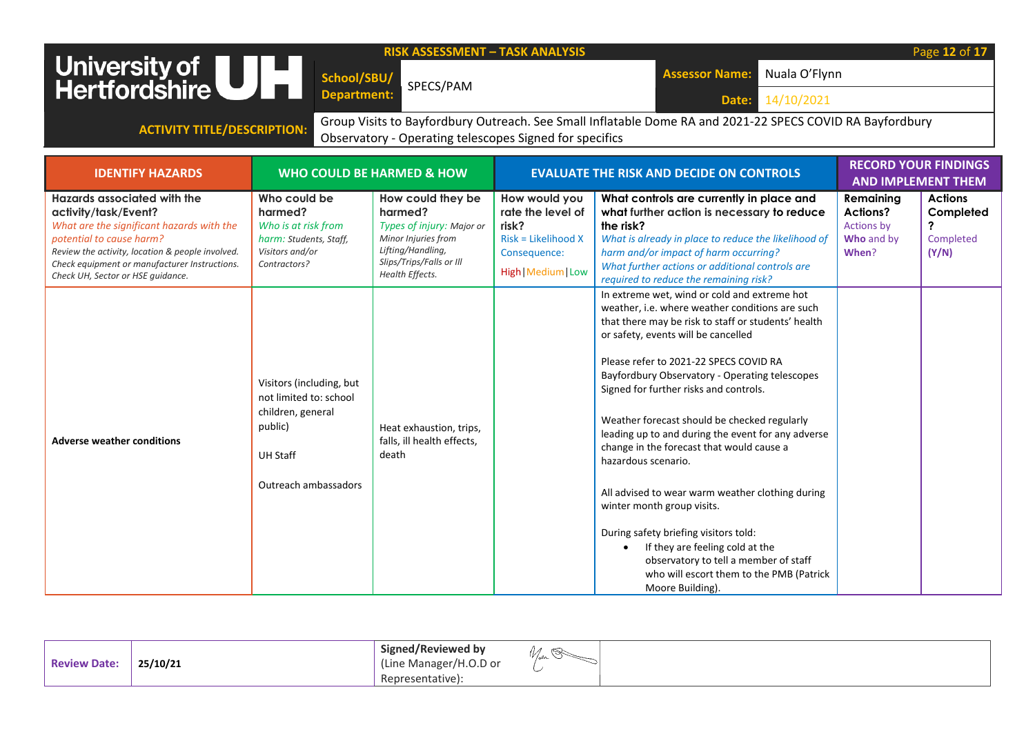| <b>RISK ASSESSMENT - TASK ANALYSIS</b><br>University of <b>ULL</b><br>Hertfordshire<br>Nuala O'Flynn<br><b>Assessor Name:</b><br>School/SBU/<br>SPECS/PAM<br><b>Department:</b><br>14/10/2021<br>Date:                                                                        |                                                                                                                               |                                                                                                                                                      |                                                                                                             |                                                                                                                                                                                                                                                                                                                                                                                                                                                                                                                                                                                                                                                                                                                                                                                                   |                                                                          | Page 12 of 17                                          |  |  |
|-------------------------------------------------------------------------------------------------------------------------------------------------------------------------------------------------------------------------------------------------------------------------------|-------------------------------------------------------------------------------------------------------------------------------|------------------------------------------------------------------------------------------------------------------------------------------------------|-------------------------------------------------------------------------------------------------------------|---------------------------------------------------------------------------------------------------------------------------------------------------------------------------------------------------------------------------------------------------------------------------------------------------------------------------------------------------------------------------------------------------------------------------------------------------------------------------------------------------------------------------------------------------------------------------------------------------------------------------------------------------------------------------------------------------------------------------------------------------------------------------------------------------|--------------------------------------------------------------------------|--------------------------------------------------------|--|--|
| Group Visits to Bayfordbury Outreach. See Small Inflatable Dome RA and 2021-22 SPECS COVID RA Bayfordbury<br><b>ACTIVITY TITLE/DESCRIPTION:</b><br>Observatory - Operating telescopes Signed for specifics                                                                    |                                                                                                                               |                                                                                                                                                      |                                                                                                             |                                                                                                                                                                                                                                                                                                                                                                                                                                                                                                                                                                                                                                                                                                                                                                                                   |                                                                          |                                                        |  |  |
| <b>IDENTIFY HAZARDS</b>                                                                                                                                                                                                                                                       |                                                                                                                               | <b>WHO COULD BE HARMED &amp; HOW</b>                                                                                                                 |                                                                                                             | <b>EVALUATE THE RISK AND DECIDE ON CONTROLS</b>                                                                                                                                                                                                                                                                                                                                                                                                                                                                                                                                                                                                                                                                                                                                                   | <b>RECORD YOUR FINDINGS</b>                                              | <b>AND IMPLEMENT THEM</b>                              |  |  |
| <b>Hazards associated with the</b><br>activity/task/Event?<br>What are the significant hazards with the<br>potential to cause harm?<br>Review the activity, location & people involved.<br>Check equipment or manufacturer Instructions.<br>Check UH, Sector or HSE guidance. | Who could be<br>harmed?<br>Who is at risk from<br>harm: Students, Staff,<br>Visitors and/or<br>Contractors?                   | How could they be<br>harmed?<br>Types of injury: Major or<br>Minor Injuries from<br>Lifting/Handling,<br>Slips/Trips/Falls or Ill<br>Health Effects. | How would you<br>rate the level of<br>risk?<br>$Risk = Likelihood X$<br>Consequence:<br>High   Medium   Low | What controls are currently in place and<br>what further action is necessary to reduce<br>the risk?<br>What is already in place to reduce the likelihood of<br>harm and/or impact of harm occurring?<br>What further actions or additional controls are<br>required to reduce the remaining risk?                                                                                                                                                                                                                                                                                                                                                                                                                                                                                                 | Remaining<br><b>Actions?</b><br><b>Actions by</b><br>Who and by<br>When? | <b>Actions</b><br>Completed<br>?<br>Completed<br>(Y/N) |  |  |
| <b>Adverse weather conditions</b>                                                                                                                                                                                                                                             | Visitors (including, but<br>not limited to: school<br>children, general<br>public)<br><b>UH Staff</b><br>Outreach ambassadors | Heat exhaustion, trips,<br>falls, ill health effects,<br>death                                                                                       |                                                                                                             | In extreme wet, wind or cold and extreme hot<br>weather, i.e. where weather conditions are such<br>that there may be risk to staff or students' health<br>or safety, events will be cancelled<br>Please refer to 2021-22 SPECS COVID RA<br>Bayfordbury Observatory - Operating telescopes<br>Signed for further risks and controls.<br>Weather forecast should be checked regularly<br>leading up to and during the event for any adverse<br>change in the forecast that would cause a<br>hazardous scenario.<br>All advised to wear warm weather clothing during<br>winter month group visits.<br>During safety briefing visitors told:<br>If they are feeling cold at the<br>$\bullet$<br>observatory to tell a member of staff<br>who will escort them to the PMB (Patrick<br>Moore Building). |                                                                          |                                                        |  |  |

| <b>Review Date:</b> | 25/10/21 | Signed/Reviewed by<br>'''<br>y j <sub>o</sub> an<br>/H.O.D or<br>. Manager/<br>in n<br>--- |
|---------------------|----------|--------------------------------------------------------------------------------------------|
|                     |          | Representative):                                                                           |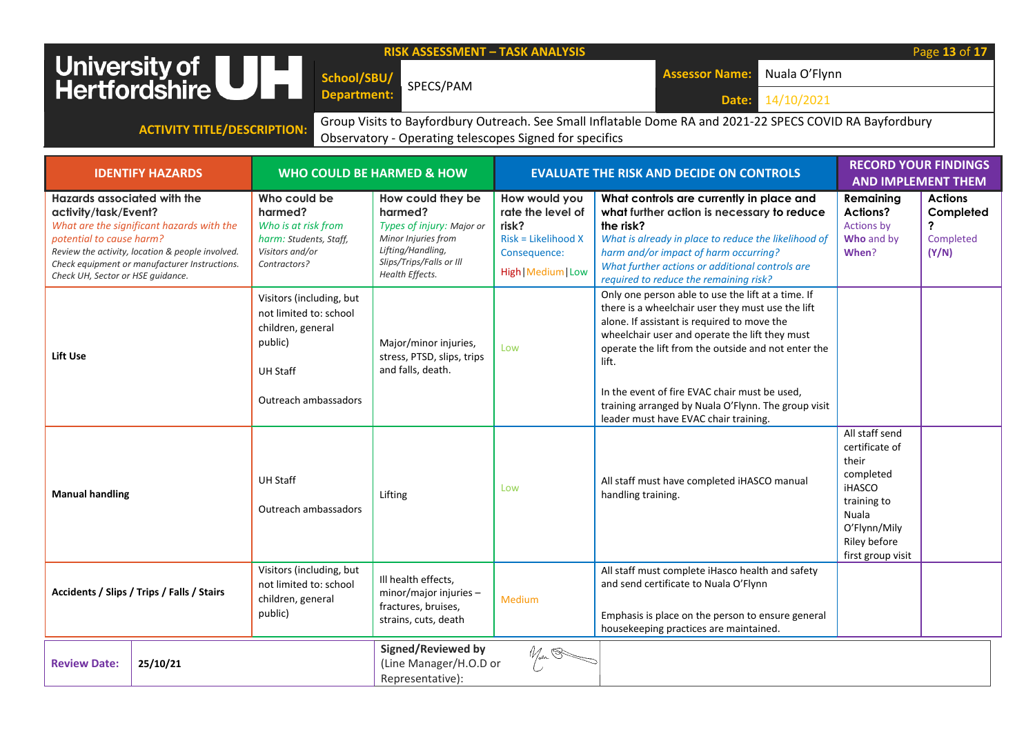|                                                                                                                                                                                                                                                                               |                                                                                                                               | <b>RISK ASSESSMENT - TASK ANALYSIS</b>                                                                                                               |                                                                                                           |                                                                                                                                                                                                                                                                                                                                                                                  |                                                                                                                                                      | Page 13 of 17                                          |
|-------------------------------------------------------------------------------------------------------------------------------------------------------------------------------------------------------------------------------------------------------------------------------|-------------------------------------------------------------------------------------------------------------------------------|------------------------------------------------------------------------------------------------------------------------------------------------------|-----------------------------------------------------------------------------------------------------------|----------------------------------------------------------------------------------------------------------------------------------------------------------------------------------------------------------------------------------------------------------------------------------------------------------------------------------------------------------------------------------|------------------------------------------------------------------------------------------------------------------------------------------------------|--------------------------------------------------------|
| University of UH                                                                                                                                                                                                                                                              | School/SBU/                                                                                                                   | SPECS/PAM                                                                                                                                            |                                                                                                           | Nuala O'Flynn<br><b>Assessor Name:</b>                                                                                                                                                                                                                                                                                                                                           |                                                                                                                                                      |                                                        |
|                                                                                                                                                                                                                                                                               | <b>Department:</b>                                                                                                            |                                                                                                                                                      |                                                                                                           | 14/10/2021<br>Date:                                                                                                                                                                                                                                                                                                                                                              |                                                                                                                                                      |                                                        |
| <b>ACTIVITY TITLE/DESCRIPTION:</b>                                                                                                                                                                                                                                            |                                                                                                                               | Observatory - Operating telescopes Signed for specifics                                                                                              |                                                                                                           | Group Visits to Bayfordbury Outreach. See Small Inflatable Dome RA and 2021-22 SPECS COVID RA Bayfordbury                                                                                                                                                                                                                                                                        |                                                                                                                                                      |                                                        |
|                                                                                                                                                                                                                                                                               |                                                                                                                               |                                                                                                                                                      |                                                                                                           |                                                                                                                                                                                                                                                                                                                                                                                  |                                                                                                                                                      |                                                        |
| <b>IDENTIFY HAZARDS</b>                                                                                                                                                                                                                                                       |                                                                                                                               | <b>WHO COULD BE HARMED &amp; HOW</b>                                                                                                                 |                                                                                                           | <b>EVALUATE THE RISK AND DECIDE ON CONTROLS</b>                                                                                                                                                                                                                                                                                                                                  | <b>RECORD YOUR FINDINGS</b><br><b>AND IMPLEMENT THEM</b>                                                                                             |                                                        |
| <b>Hazards associated with the</b><br>activity/task/Event?<br>What are the significant hazards with the<br>potential to cause harm?<br>Review the activity, location & people involved.<br>Check equipment or manufacturer Instructions.<br>Check UH, Sector or HSE guidance. | Who could be<br>harmed?<br>Who is at risk from<br>harm: Students, Staff,<br>Visitors and/or<br>Contractors?                   | How could they be<br>harmed?<br>Types of injury: Major or<br>Minor Injuries from<br>Lifting/Handling,<br>Slips/Trips/Falls or Ill<br>Health Effects. | How would you<br>rate the level of<br>risk?<br>Risk = Likelihood X<br>Consequence:<br>High   Medium   Low | What controls are currently in place and<br>what further action is necessary to reduce<br>the risk?<br>What is already in place to reduce the likelihood of<br>harm and/or impact of harm occurring?<br>What further actions or additional controls are<br>required to reduce the remaining risk?                                                                                | Remaining<br>Actions?<br><b>Actions by</b><br>Who and by<br>When?                                                                                    | <b>Actions</b><br>Completed<br>?<br>Completed<br>(Y/N) |
| Lift Use                                                                                                                                                                                                                                                                      | Visitors (including, but<br>not limited to: school<br>children, general<br>public)<br><b>UH Staff</b><br>Outreach ambassadors | Major/minor injuries,<br>stress, PTSD, slips, trips<br>and falls, death.                                                                             | Low                                                                                                       | Only one person able to use the lift at a time. If<br>there is a wheelchair user they must use the lift<br>alone. If assistant is required to move the<br>wheelchair user and operate the lift they must<br>operate the lift from the outside and not enter the<br>lift.<br>In the event of fire EVAC chair must be used,<br>training arranged by Nuala O'Flynn. The group visit |                                                                                                                                                      |                                                        |
| <b>Manual handling</b>                                                                                                                                                                                                                                                        | <b>UH Staff</b><br>Outreach ambassadors                                                                                       | Lifting                                                                                                                                              | Low                                                                                                       | leader must have EVAC chair training.<br>All staff must have completed iHASCO manual<br>handling training.                                                                                                                                                                                                                                                                       | All staff send<br>certificate of<br>their<br>completed<br><b>iHASCO</b><br>training to<br>Nuala<br>O'Flynn/Mily<br>Riley before<br>first group visit |                                                        |
| Accidents / Slips / Trips / Falls / Stairs                                                                                                                                                                                                                                    | Visitors (including, but<br>not limited to: school<br>children, general<br>public)                                            | Ill health effects,<br>minor/major injuries-<br>fractures, bruises,<br>strains, cuts, death                                                          | Medium                                                                                                    | All staff must complete iHasco health and safety<br>and send certificate to Nuala O'Flynn<br>Emphasis is place on the person to ensure general<br>housekeeping practices are maintained.                                                                                                                                                                                         |                                                                                                                                                      |                                                        |

|                     |          |                                                                         |      | I housekeeping practices are maintained. |  |
|---------------------|----------|-------------------------------------------------------------------------|------|------------------------------------------|--|
| <b>Review Date:</b> | 25/10/21 | <b>Signed/Reviewed by</b><br>(Line Manager/H.O.D or<br>Representative): | When |                                          |  |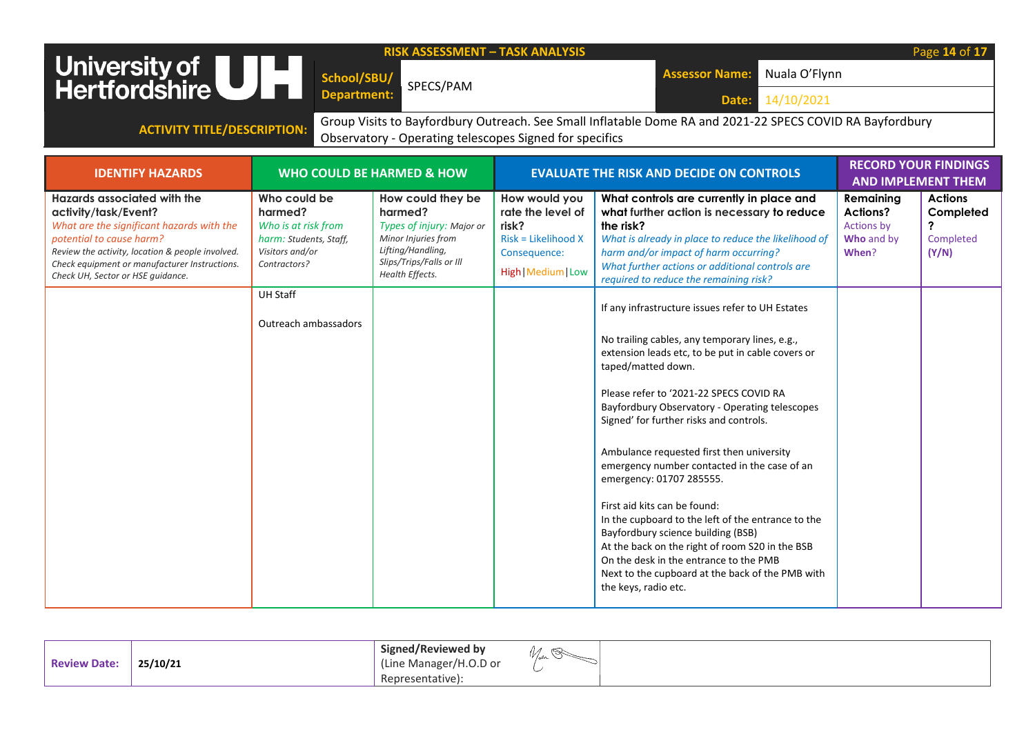|                                                                                                                                                                                                                                                                        |                                                                                                                                                        | <b>RISK ASSESSMENT - TASK ANALYSIS</b>                                                                                                               |                                                                                                             |                                                                                                                                                                                                                                                                                                                                                                                                                                                                                                                                                                                                                                                                                                                                                                                                                                                                                                                                                                                                                                                          |                                                                   | Page 14 of 17                                                                |
|------------------------------------------------------------------------------------------------------------------------------------------------------------------------------------------------------------------------------------------------------------------------|--------------------------------------------------------------------------------------------------------------------------------------------------------|------------------------------------------------------------------------------------------------------------------------------------------------------|-------------------------------------------------------------------------------------------------------------|----------------------------------------------------------------------------------------------------------------------------------------------------------------------------------------------------------------------------------------------------------------------------------------------------------------------------------------------------------------------------------------------------------------------------------------------------------------------------------------------------------------------------------------------------------------------------------------------------------------------------------------------------------------------------------------------------------------------------------------------------------------------------------------------------------------------------------------------------------------------------------------------------------------------------------------------------------------------------------------------------------------------------------------------------------|-------------------------------------------------------------------|------------------------------------------------------------------------------|
| University of UH                                                                                                                                                                                                                                                       | School/SBU/                                                                                                                                            |                                                                                                                                                      |                                                                                                             | Nuala O'Flynn<br><b>Assessor Name:</b>                                                                                                                                                                                                                                                                                                                                                                                                                                                                                                                                                                                                                                                                                                                                                                                                                                                                                                                                                                                                                   |                                                                   |                                                                              |
|                                                                                                                                                                                                                                                                        | <b>Department:</b>                                                                                                                                     | SPECS/PAM                                                                                                                                            |                                                                                                             | 14/10/2021<br>Date:                                                                                                                                                                                                                                                                                                                                                                                                                                                                                                                                                                                                                                                                                                                                                                                                                                                                                                                                                                                                                                      |                                                                   |                                                                              |
|                                                                                                                                                                                                                                                                        |                                                                                                                                                        |                                                                                                                                                      |                                                                                                             | Group Visits to Bayfordbury Outreach. See Small Inflatable Dome RA and 2021-22 SPECS COVID RA Bayfordbury                                                                                                                                                                                                                                                                                                                                                                                                                                                                                                                                                                                                                                                                                                                                                                                                                                                                                                                                                |                                                                   |                                                                              |
| <b>ACTIVITY TITLE/DESCRIPTION:</b>                                                                                                                                                                                                                                     |                                                                                                                                                        | Observatory - Operating telescopes Signed for specifics                                                                                              |                                                                                                             |                                                                                                                                                                                                                                                                                                                                                                                                                                                                                                                                                                                                                                                                                                                                                                                                                                                                                                                                                                                                                                                          |                                                                   |                                                                              |
|                                                                                                                                                                                                                                                                        |                                                                                                                                                        |                                                                                                                                                      |                                                                                                             |                                                                                                                                                                                                                                                                                                                                                                                                                                                                                                                                                                                                                                                                                                                                                                                                                                                                                                                                                                                                                                                          | <b>RECORD YOUR FINDINGS</b>                                       |                                                                              |
| <b>IDENTIFY HAZARDS</b>                                                                                                                                                                                                                                                |                                                                                                                                                        | <b>WHO COULD BE HARMED &amp; HOW</b>                                                                                                                 |                                                                                                             | <b>EVALUATE THE RISK AND DECIDE ON CONTROLS</b>                                                                                                                                                                                                                                                                                                                                                                                                                                                                                                                                                                                                                                                                                                                                                                                                                                                                                                                                                                                                          | <b>AND IMPLEMENT THEM</b>                                         |                                                                              |
| Hazards associated with the<br>activity/task/Event?<br>What are the significant hazards with the<br>potential to cause harm?<br>Review the activity, location & people involved.<br>Check equipment or manufacturer Instructions.<br>Check UH, Sector or HSE quidance. | Who could be<br>harmed?<br>Who is at risk from<br>harm: Students, Staff,<br>Visitors and/or<br>Contractors?<br><b>UH Staff</b><br>Outreach ambassadors | How could they be<br>harmed?<br>Types of injury: Major or<br>Minor Injuries from<br>Lifting/Handling,<br>Slips/Trips/Falls or Ill<br>Health Effects. | How would you<br>rate the level of<br>risk?<br>$Risk = Likelihood X$<br>Consequence:<br>High   Medium   Low | What controls are currently in place and<br>what further action is necessary to reduce<br>the risk?<br>What is already in place to reduce the likelihood of<br>harm and/or impact of harm occurring?<br>What further actions or additional controls are<br>required to reduce the remaining risk?<br>If any infrastructure issues refer to UH Estates<br>No trailing cables, any temporary lines, e.g.,<br>extension leads etc, to be put in cable covers or<br>taped/matted down.<br>Please refer to '2021-22 SPECS COVID RA<br>Bayfordbury Observatory - Operating telescopes<br>Signed' for further risks and controls.<br>Ambulance requested first then university<br>emergency number contacted in the case of an<br>emergency: 01707 285555.<br>First aid kits can be found:<br>In the cupboard to the left of the entrance to the<br>Bayfordbury science building (BSB)<br>At the back on the right of room S20 in the BSB<br>On the desk in the entrance to the PMB<br>Next to the cupboard at the back of the PMB with<br>the keys, radio etc. | Remaining<br><b>Actions?</b><br>Actions by<br>Who and by<br>When? | <b>Actions</b><br>Completed<br>$\overline{\mathbf{?}}$<br>Completed<br>(Y/N) |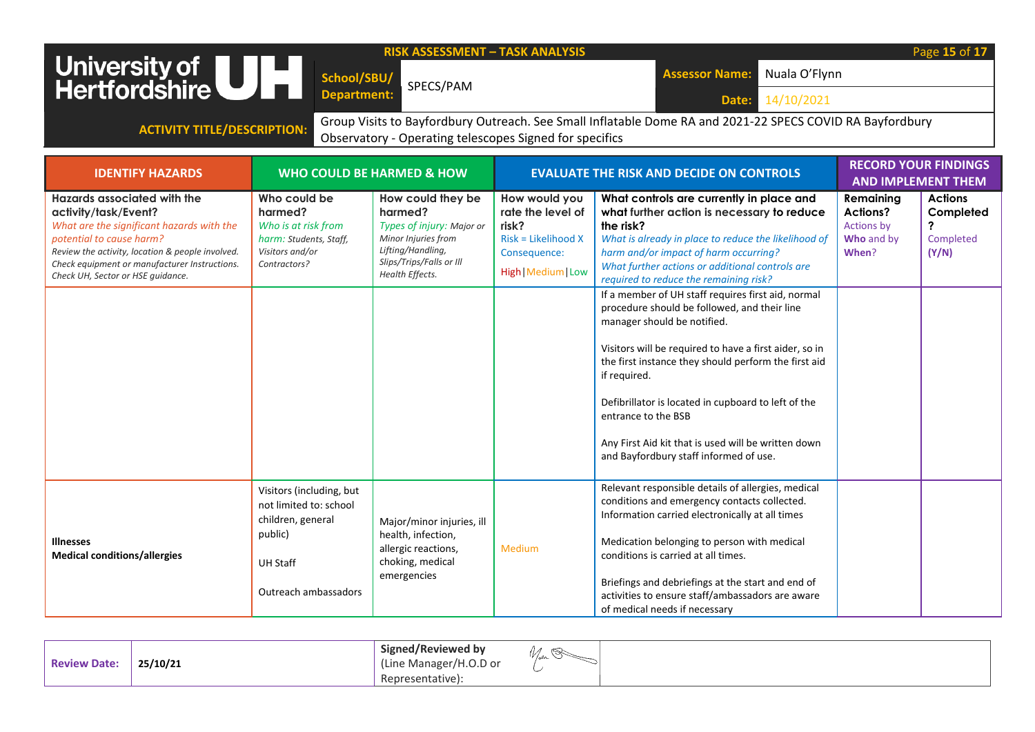|                                                                                                                                        |                                                                                    | <b>RISK ASSESSMENT - TASK ANALYSIS</b>                                           |                                                                    |                                                                                                                                                             |                                                   | Page 15 of 17                                            |
|----------------------------------------------------------------------------------------------------------------------------------------|------------------------------------------------------------------------------------|----------------------------------------------------------------------------------|--------------------------------------------------------------------|-------------------------------------------------------------------------------------------------------------------------------------------------------------|---------------------------------------------------|----------------------------------------------------------|
| University of UH                                                                                                                       | School/SBU/                                                                        |                                                                                  |                                                                    | Nuala O'Flynn<br><b>Assessor Name:</b>                                                                                                                      |                                                   |                                                          |
|                                                                                                                                        | <b>Department:</b>                                                                 | SPECS/PAM                                                                        |                                                                    | 14/10/2021                                                                                                                                                  |                                                   |                                                          |
|                                                                                                                                        |                                                                                    |                                                                                  |                                                                    | Date:                                                                                                                                                       |                                                   |                                                          |
| <b>ACTIVITY TITLE/DESCRIPTION:</b>                                                                                                     |                                                                                    | Observatory - Operating telescopes Signed for specifics                          |                                                                    | Group Visits to Bayfordbury Outreach. See Small Inflatable Dome RA and 2021-22 SPECS COVID RA Bayfordbury                                                   |                                                   |                                                          |
|                                                                                                                                        |                                                                                    |                                                                                  |                                                                    |                                                                                                                                                             |                                                   |                                                          |
| <b>IDENTIFY HAZARDS</b>                                                                                                                |                                                                                    | <b>WHO COULD BE HARMED &amp; HOW</b>                                             |                                                                    | <b>EVALUATE THE RISK AND DECIDE ON CONTROLS</b>                                                                                                             |                                                   | <b>RECORD YOUR FINDINGS</b><br><b>AND IMPLEMENT THEM</b> |
| <b>Hazards associated with the</b><br>activity/task/Event?<br>What are the significant hazards with the<br>potential to cause harm?    | Who could be<br>harmed?<br>Who is at risk from<br>harm: Students, Staff,           | How could they be<br>harmed?<br>Types of injury: Major or<br>Minor Injuries from | How would you<br>rate the level of<br>risk?<br>Risk = Likelihood X | What controls are currently in place and<br>what further action is necessary to reduce<br>the risk?<br>What is already in place to reduce the likelihood of | Remaining<br>Actions?<br>Actions by<br>Who and by | <b>Actions</b><br>Completed<br>?<br>Completed            |
| Review the activity, location & people involved.<br>Check equipment or manufacturer Instructions.<br>Check UH, Sector or HSE quidance. | Visitors and/or<br>Contractors?                                                    | Lifting/Handling,<br>Slips/Trips/Falls or Ill<br>Health Effects.                 | Consequence:<br>High   Medium   Low                                | harm and/or impact of harm occurring?<br>What further actions or additional controls are<br>required to reduce the remaining risk?                          | When?                                             | (Y/N)                                                    |
|                                                                                                                                        |                                                                                    |                                                                                  |                                                                    | If a member of UH staff requires first aid, normal<br>procedure should be followed, and their line<br>manager should be notified.                           |                                                   |                                                          |
|                                                                                                                                        |                                                                                    |                                                                                  |                                                                    | Visitors will be required to have a first aider, so in<br>the first instance they should perform the first aid<br>if required.                              |                                                   |                                                          |
|                                                                                                                                        |                                                                                    |                                                                                  |                                                                    | Defibrillator is located in cupboard to left of the<br>entrance to the BSB                                                                                  |                                                   |                                                          |
|                                                                                                                                        |                                                                                    |                                                                                  |                                                                    | Any First Aid kit that is used will be written down<br>and Bayfordbury staff informed of use.                                                               |                                                   |                                                          |
|                                                                                                                                        | Visitors (including, but<br>not limited to: school<br>children, general<br>public) | Major/minor injuries, ill<br>health, infection,                                  |                                                                    | Relevant responsible details of allergies, medical<br>conditions and emergency contacts collected.<br>Information carried electronically at all times       |                                                   |                                                          |
| <b>Illnesses</b><br><b>Medical conditions/allergies</b>                                                                                | <b>UH Staff</b>                                                                    | allergic reactions,<br>choking, medical                                          | Medium                                                             | Medication belonging to person with medical<br>conditions is carried at all times.                                                                          |                                                   |                                                          |
|                                                                                                                                        | Outreach ambassadors                                                               | emergencies                                                                      |                                                                    | Briefings and debriefings at the start and end of<br>activities to ensure staff/ambassadors are aware<br>of medical needs if necessary                      |                                                   |                                                          |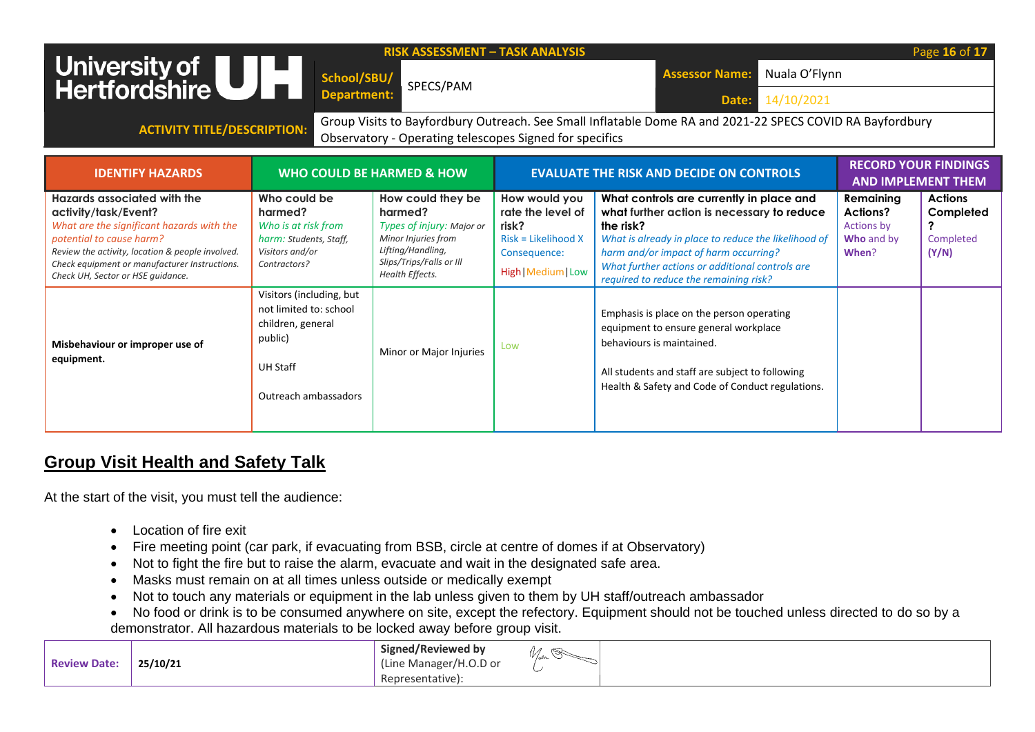| University of ULL<br>Hertfordshire<br><b>ACTIVITY TITLE/DESCRIPTION:</b>                                                                                                                                                                                               | School/SBU/<br>Department:                                                                                                    | <b>RISK ASSESSMENT - TASK ANALYSIS</b><br>SPECS/PAM<br>Observatory - Operating telescopes Signed for specifics                                       |                                                                                                             | Nuala O'Flynn<br><b>Assessor Name:</b><br>14/10/2021<br>Date:<br>Group Visits to Bayfordbury Outreach. See Small Inflatable Dome RA and 2021-22 SPECS COVID RA Bayfordbury                                                                                                                        |                                                                   | Page 16 of 1                                      |
|------------------------------------------------------------------------------------------------------------------------------------------------------------------------------------------------------------------------------------------------------------------------|-------------------------------------------------------------------------------------------------------------------------------|------------------------------------------------------------------------------------------------------------------------------------------------------|-------------------------------------------------------------------------------------------------------------|---------------------------------------------------------------------------------------------------------------------------------------------------------------------------------------------------------------------------------------------------------------------------------------------------|-------------------------------------------------------------------|---------------------------------------------------|
| <b>IDENTIFY HAZARDS</b>                                                                                                                                                                                                                                                |                                                                                                                               | WHO COULD BE HARMED & HOW                                                                                                                            |                                                                                                             | <b>EVALUATE THE RISK AND DECIDE ON CONTROLS</b>                                                                                                                                                                                                                                                   | <b>AND IMPLEMENT THEM</b>                                         | <b>RECORD YOUR FINDINGS</b>                       |
| Hazards associated with the<br>activity/task/Event?<br>What are the significant hazards with the<br>potential to cause harm?<br>Review the activity, location & people involved.<br>Check equipment or manufacturer Instructions.<br>Check UH, Sector or HSE quidance. | Who could be<br>harmed?<br>Who is at risk from<br>harm: Students, Staff,<br>Visitors and/or<br>Contractors?                   | How could they be<br>harmed?<br>Types of injury: Major or<br>Minor Injuries from<br>Lifting/Handling,<br>Slips/Trips/Falls or Ill<br>Health Effects. | How would you<br>rate the level of<br>risk?<br>$Risk = Likelihood X$<br>Consequence:<br>High   Medium   Low | What controls are currently in place and<br>what further action is necessary to reduce<br>the risk?<br>What is already in place to reduce the likelihood of<br>harm and/or impact of harm occurring?<br>What further actions or additional controls are<br>required to reduce the remaining risk? | Remaining<br>Actions?<br><b>Actions by</b><br>Who and by<br>When? | <b>Actions</b><br>Completed<br>Completed<br>(Y/N) |
| Misbehaviour or improper use of<br>equipment.                                                                                                                                                                                                                          | Visitors (including, but<br>not limited to: school<br>children, general<br>public)<br><b>UH Staff</b><br>Outreach ambassadors | Minor or Major Injuries                                                                                                                              | Low                                                                                                         | Emphasis is place on the person operating<br>equipment to ensure general workplace<br>behaviours is maintained.<br>All students and staff are subject to following<br>Health & Safety and Code of Conduct regulations.                                                                            |                                                                   |                                                   |

## **Group Visit Health and Safety Talk**

At the start of the visit, you must tell the audience:

- Location of fire exit
- Fire meeting point (car park, if evacuating from BSB, circle at centre of domes if at Observatory)
- Not to fight the fire but to raise the alarm, evacuate and wait in the designated safe area.
- Masks must remain on at all times unless outside or medically exempt
- Not to touch any materials or equipment in the lab unless given to them by UH staff/outreach ambassador
- No food or drink is to be consumed anywhere on site, except the refectory. Equipment should not be touched unless directed to do so by a demonstrator. All hazardous materials to be locked away before group visit.

| <b>Review Date:</b> | 25/10/21 | <b>Signed/Reviewed by</b><br>(Line Manager/H.O.D or | $1 - \alpha_0$ |
|---------------------|----------|-----------------------------------------------------|----------------|
|                     |          | Representative):                                    |                |